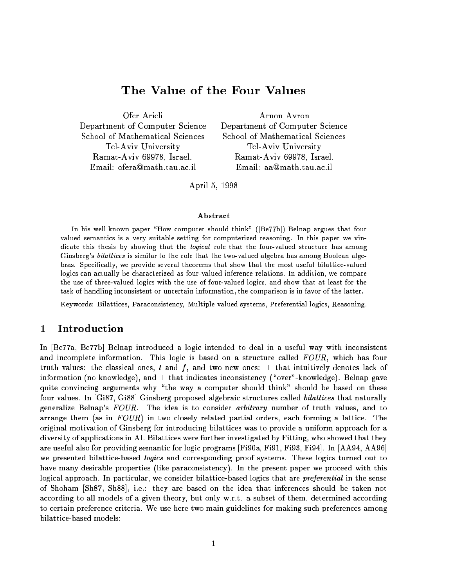# The Value of the Four Values

Department of Computer Science Department of Computer Science School of Mathematical Sciences School of Mathematical Sciences Tel-Aviv University Tel-Aviv University Ramat-Aviv 69978, Israel. Ramat-Aviv 69978, Israel. Email: ofera@math.tau.ac.il Email: aa@math.tau.ac.il

Ofer Arieli Arnon Avron

April 5, 1998

### Abstract

in his well-known the paper. His computer should the should think if the first think we argues that four valued semantics is a very suitable setting for computerized reasoning. In this paper we vindicate this thesis by showing that the logical role that the four-valued structure has among Ginsberg's *bilattices* is similar to the role that the two-valued algebra has among Boolean algebras. Specically, we provide several theorems that show that the most useful bilattice-valued logics can actually be characterized as four-valued inference relations. In addition, we compare the use of three-valued logics with the use of four-valued logics, and show that at least for thetask of handling inconsistent or uncertain information, the comparison is in favor of the latter.

Keywords: Bilattices, Paraconsistency, Multiple-valued systems, Preferential logics, Reasoning.

#### 1 Introduction 1

In [Be77a, Be77b] Belnap introduced a logic intended to deal in a useful way with inconsistent and incomplete information. This logic is based on a structure called  $FOUR$ , which has four truth values: the classical ones, t and f, and two new ones:  $\perp$  that intuitively denotes lack of information (no knowledge), and  $\top$  that indicates inconsistency ("over"-knowledge). Belnap gave quite convincing arguments why "the way a computer should think" should be based on these four values. In [Gi87, Gi88] Ginsberg proposed algebraic structures called *bilattices* that naturally generalize Belnap's  $FOUR$ . The idea is to consider *arbitrary* number of truth values, and to arrange them (as in  $FOUR$ ) in two closely related partial orders, each forming a lattice. The original motivation of Ginsberg for introducing bilattices was to provide a uniform approach for a diversity of applications in AI. Bilattices were further investigated by Fitting, who showed that they are useful also for providing semantic for logic programs [Fi90a, Fi91, Fi93, Fi94]. In [AA94, AA96] we presented bilattice-based *logics* and corresponding proof systems. These logics turned out to have many desirable properties (like paraconsistency). In the present paper we proceed with this logical approach. In particular, we consider bilattice-based logics that are *preferential* in the sense of Shoham [Sh87, Sh88], i.e.: they are based on the idea that inferences should be taken not according to all models of a given theory, but only w.r.t. a subset of them, determined according to certain preference criteria. We use here two main guidelines for making such preferences among bilattice-based models: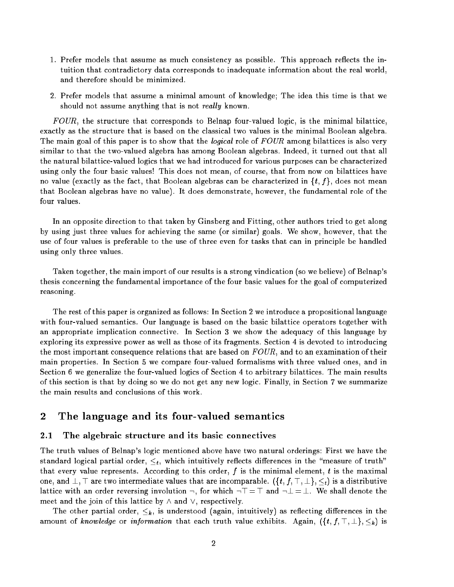- 1. Prefer models that assume as much consistency as possible. This approach reflects the intuition that contradictory data corresponds to inadequate information about the real world, and therefore should be minimized.
- 2. Prefer models that assume a minimal amount of knowledge; The idea this time is that we should not assume anything that is not really known.

FOUR, the structure that corresponds to Belnap four-valued logic, is the minimal bilattice exactly as the structure that is based on the classical two values is the minimal Boolean algebra. The main goal of this paper is to show that the *logical* role of FOUR among bilattices is also very similar to that the two-valued algebra has among Boolean algebras. Indeed, it turned out that all the natural bilattice-valued logics that we had introduced for various purposes can be characterized using only the four basic values! This does not mean, of course, that from now on bilattices have no value (exactly as the fact, that Boolean algebras can be characterized in  $\{t, f\}$ , does not mean that Boolean algebras have no value). It does demonstrate, however, the fundamental role of the four values.

In an opposite direction to that taken by Ginsberg and Fitting, other authors tried to get along by using just three values for achieving the same (or similar) goals. We show, however, that the use of four values is preferable to the use of three even for tasks that can in principle be handled using only three values.

Taken together, the main import of our results is a strong vindication (so we believe) of Belnap's thesis concerning the fundamental importance of the four basic values for the goal of computerized reasoning.

The rest of this paper is organized as follows: In Section 2 we introduce a propositional language with four-valued semantics. Our language is based on the basic bilattice operators together with an appropriate implication connective. In Section 3 we show the adequacy of this language by exploring its expressive power as well as those of its fragments. Section 4 is devoted to introducing the most important consequence relations that are based on  $FOUR$ , and to an examination of their main properties. In Section 5 we compare four-valued formalisms with three valued ones, and in Section 6 we generalize the four-valued logics of Section 4 to arbitrary bilattices. The main results of this section is that by doing so we do not get any new logic. Finally, in Section 7 we summarize the main results and conclusions of this work.

# <sup>2</sup> The language and its four-valued semantics

## 2.1 The algebraic structure and its basic connectives

The truth values of Belnap's logic mentioned above have two natural orderings: First we have the standard logical partial order,  $\leq_t$ , which intuitively reflects differences in the "measure of truth" that every value represents. According to this order,  $f$  is the minimal element,  $t$  is the maximal one, and  $\bot$ ,  $\top$  are two intermediate values that are incomparable.  $(\{t, f, \top, \bot\}, \leq_t)$  is a distributive lattice with an order reversing involution  $\neg$ , for which  $\neg \top = \top$  and  $\neg \bot = \bot$ . We shall denote the meet and the join of this lattice by  $\wedge$  and  $\vee$ , respectively.

The other partial order,  $\leq_k$ , is understood (again, intuitively) as reflecting differences in the amount of *knowledge* or *information* that each truth value exhibits. Again,  $(\{t, f, \top, \bot\}, \leq_k)$  is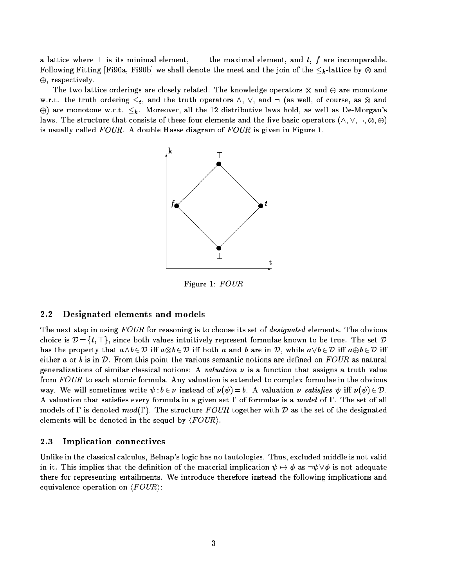a lattice where  $\perp$  is its minimal element,  $\top$  – the maximal element, and t, f are incomparable. Following Fitting [Fi90a, Fi90b] we shall denote the meet and the join of the k -lattice by and  $\oplus$ , respectively.

The two lattice orderings are closely related. The knowledge operators and are monotone w.r.t. the truth ordering t, and the truth operators  $\mu$  ,  $\mu$  and  $\mu$ ,  $\mu$  and  $\mu$ , or  $\mu$  $\oplus$ ) are monotone w.r.t.  $\lt_k$ . Moreover, all the 12 distributive laws hold, as well as De-Morgan's laws. The structure that consists of the structure that consists of the structure  $\mathbf{r}$ is usually called  $FOUR$ . A double Hasse diagram of  $FOUR$  is given in Figure 1.



Figure 1: FOUR

## 2.2 Designated elements and models

The next step in using FOUR for reasoning is to choose its set of *designated* elements. The obvious choice is  $\mathcal{D} = \{t, \top\}$ , since both values intuitively represent formulae known to be true. The set  $\mathcal{D}$ has the property that a^b <sup>2</sup> <sup>D</sup> i <sup>a</sup>b 2 D i both a and b are in D, while a\_b 2 D i ab 2 D i either a or b is in  $\mathcal{D}$ . From this point the various semantic notions are defined on  $FOUR$  as natural generalizations of similar classical notions: A valuation  $\nu$  is a function that assigns a truth value from  $FOUR$  to each atomic formula. Any valuation is extended to complex formulae in the obvious way. We will sometimes write  $\psi : b \in \nu$  instead of  $\nu(\psi) = b$ . A valuation  $\nu$  satisfies  $\psi$  iff  $\nu(\psi) \in \mathcal{D}$ . A valuation that satisfies every formula in a given set  $\Gamma$  of formulae is a model of  $\Gamma$ . The set of all models of  $\Gamma$  is denoted  $mod(\Gamma)$ . The structure FOUR together with D as the set of the designated elements will be denoted in the sequel by  $\langle \text{FOUR} \rangle$ .

## 2.3 Implication connectives

Unlike in the classical calculus, Belnap's logic has no tautologies. Thus, excluded middle is not valid in it. This implies that the definition of the material implication  $\psi \mapsto \phi$  as  $\neg \psi \vee \phi$  is not adequate there for representing entailments. We introduce therefore instead the following implications and equivalence operation on  $\langle \text{FOUR} \rangle$ :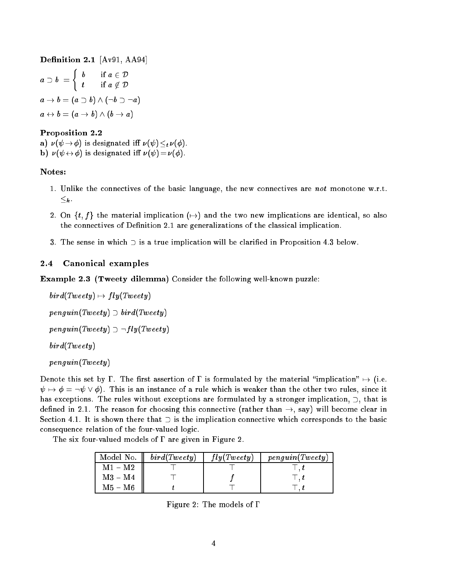**Definition 2.1**  $[Av91, A494]$ a b =  $\overline{\phantom{a}}$ . **. . . .** . t is a contract of the form of the form of the form of the form of the following and interest of the following  $a \rightarrow b = (a \supset b) \wedge (\neg b \supset \neg a)$  $a \leftrightarrow b = (a \rightarrow b) \land (b \rightarrow a)$ 

# Proposition 2.2

 $\mathcal{L}$  is designed in the contract in the contract of  $\mathcal{L}$  ,  $\mathcal{L}$  ,  $\mathcal{L}$  ,  $\mathcal{L}$  ,  $\mathcal{L}$  ,  $\mathcal{L}$  ,  $\mathcal{L}$  ,  $\mathcal{L}$  ,  $\mathcal{L}$  ,  $\mathcal{L}$  ,  $\mathcal{L}$  ,  $\mathcal{L}$  ,  $\mathcal{L}$  ,  $\mathcal{L}$  ,  $\mathcal{L}$  , b)  $\nu (\psi \leftrightarrow \phi)$  is designated iff  $\nu (\psi) = \nu(\phi)$ .

## Notes:

- 1. Unlike the connectives of the basic language, the new connectives are not monotone w.r.t. k .
- 2. On  $\{t, f\}$  the material implication  $(\rightarrow)$  and the two new implications are identical, so also the connectives of Definition 2.1 are generalizations of the classical implication.
- 3. The sense in which  $\supset$  is a true implication will be clarified in Proposition 4.3 below.

# 2.4 Canonical examples

Example 2.3 (Tweety dilemma) Consider the following well-known puzzle:

```
bird(Tweety) \mapsto fly(Tweety)penguin(Tweety) \supset bird(Tweety)penguin(Tweety) \supset \neg fly(Tweety)bird(Tweety)
penguin(Tweety)
```
Denote this set by  $\Gamma$ . The first assertion of  $\Gamma$  is formulated by the material "implication"  $\mapsto$  (i.e.  $\psi \mapsto \phi = \neg \psi \vee \phi$ . This is an instance of a rule which is weaker than the other two rules, since it has exceptions. The rules without exceptions are formulated by a stronger implication,  $\supset$ , that is defined in 2.1. The reason for choosing this connective (rather than  $\rightarrow$ , say) will become clear in Section 4.1. It is shown there that  $\supset$  is the implication connective which corresponds to the basic consequence relation of the four-valued logic.

The six four-valued models of  $\Gamma$  are given in Figure 2.

| Model No. | bird(Tweety) | fly(Tweety) | penguin(Tweety) |
|-----------|--------------|-------------|-----------------|
| $M1 - M2$ |              |             |                 |
| $M3 - M4$ |              |             |                 |
| M5 – M6   |              |             |                 |

Figure 2: The models of  $\Gamma$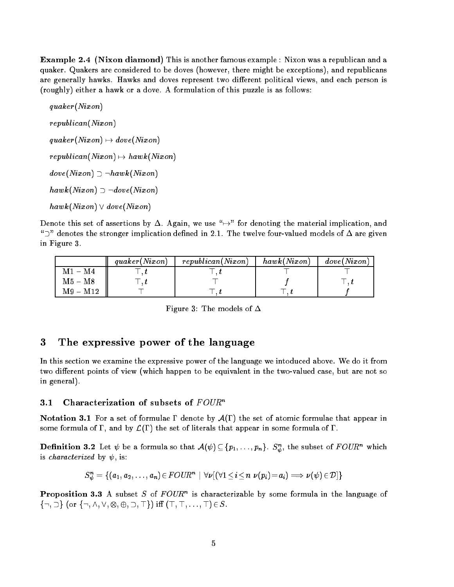Example 2.4 (Nixon diamond) This is another famous example : Nixon was a republican and a quaker. Quakers are considered to be doves (however, there might be exceptions), and republicans are generally hawks. Hawks and doves represent two different political views, and each person is (roughly) either a hawk or a dove. A formulation of this puzzle is as follows:

quaker(Nixon) republican(Nixon)  $quaker(Nixon) \mapsto dove(Nixon)$  $republican(Nixon) \mapsto hawk(Nixon)$  $dove(Nixon) \supset \neg hawk(Nixon)$  $hawk(Nixon) \supset \neg dove(Nixon)$  $hawk(Nixon) \vee dove(Nixon)$ 

Denote this set of assertions by  $\Delta$ . Again, we use " $\rightarrow$ " for denoting the material implication, and " $\sup$ " denotes the stronger implication defined in 2.1. The twelve four-valued models of  $\Delta$  are given in Figure 3.

|                           | quaker(Nixon) | republican(Nixon) | hawk(Nixon) | dove(Nixon) |
|---------------------------|---------------|-------------------|-------------|-------------|
| $M1 - M4$                 |               |                   |             |             |
| $\mathrm{M5}-\mathrm{M8}$ |               |                   |             |             |
| $M9 - M12$                |               |                   |             |             |

Figure 3: The models of  $\Delta$ 

# <sup>3</sup> The expressive power of the language

In this section we examine the expressive power of the language we intoduced above. We do it from two different points of view (which happen to be equivalent in the two-valued case, but are not so in general).

### 3.1 Characterization of subsets of  $FOUR<sup>n</sup>$

**Notation 3.1** For a set of formulae  $\Gamma$  denote by  $\mathcal{A}(\Gamma)$  the set of atomic formulae that appear in some formula of  $\Gamma$ , and by  $\mathcal{L}(\Gamma)$  the set of literals that appear in some formula of  $\Gamma$ .

**Definition 3.2** Let  $\psi$  be a formula so that  $\mathcal{A}(\psi) \subseteq \{p_1, \ldots, p_n\}$ .  $S_{\psi}$ , the subset of  $F\cup \cup K$  which is *characterized* by  $\psi$ , is:

$$
S_{\psi}^{n} = \{ (a_1, a_2, \ldots, a_n) \in \text{FOUR}^{n} \mid \forall \nu \left[ (\forall 1 \leq i \leq n \ \nu(p_i) = a_i) \Longrightarrow \nu(\psi) \in \mathcal{D} \right] \}
$$

**Proposition 3.3** A subset  $S$  of  $F \cup U \mathbb{R}^n$  is characterizable by some formula in the language of f:; g (or f:; ^; \_; ; ; ; >g) i (>; >; : : : ; >)2S.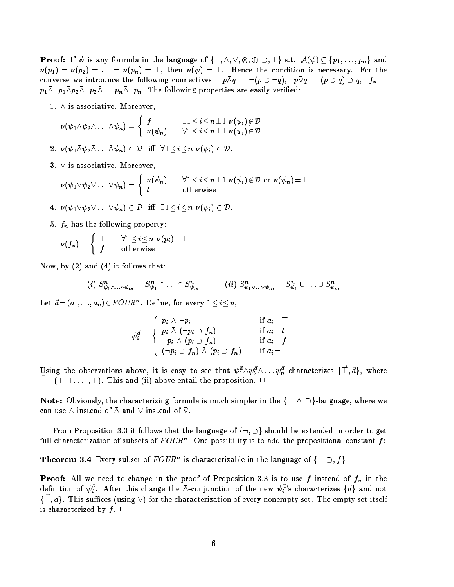$\mathcal{F}$  is any formula in the language of functions of functions of functions of functions  $\mathcal{F}$  $\nu(p_1) = \nu(p_2) = \ldots = \nu(p_n) = \top$ , then  $\nu(\psi) = \top$ . Hence the condition is necessary. For the converse we introduce the following connectives:  $p \wedge q = (p \vee q)$ ,  $p \vee q = (p \vee q) \vee q$ ,  $fn =$  $p_1\bar\wedge\neg p_1\bar\wedge p_2\bar\wedge\neg p_2\bar\wedge\ldots p_n\bar\wedge\neg p_n$ . The following properties are easily verified:

1.  $\bar{\wedge}$  is associative. Moreover,

$$
\nu(\psi_1 \barwedge \psi_2 \barwedge \ldots \barwedge \psi_n) = \left\{ \begin{array}{ll} f & \exists 1 \leq i \leq n \pm 1 \ \nu(\psi_i) \not\in \mathcal{D} \\ \nu(\psi_n) & \forall 1 \leq i \leq n \pm 1 \ \nu(\psi_i) \in \mathcal{D} \end{array} \right.
$$

2.  $\nu ( \psi_1 \wedge \psi_2 \wedge \ldots \wedge \psi_n) \in \mathcal{D}$  iff  $\forall 1 \leq i \leq n$   $\nu (\psi_i) \in \mathcal{D}$ .

3.  $\overline{\vee}$  is associative. Moreover,

$$
\nu(\psi_1 \nabla \psi_2 \nabla \dots \nabla \psi_n) = \begin{cases} \nu(\psi_n) & \forall 1 \leq i \leq n \perp 1 \ \nu(\psi_i) \notin \mathcal{D} \text{ or } \nu(\psi_n) = \top \\ t & \text{otherwise} \end{cases}
$$

4.  $\nu (\psi_1 \bar{\vee} \psi_2 \bar{\vee} \ldots \bar{\vee} \psi_n) \in \mathcal{D}$  iff  $\exists 1 \leq i \leq n \nu (\psi_i) \in \mathcal{D}$ .

5. fn has the following property:

$$
\nu(f_n) = \left\{ \begin{array}{cc} \top & \forall 1 \!\leq\! i \!\leq\! n \:\: \nu(p_i) \!=\! \top \\ f & \text{otherwise} \end{array} \right.
$$

Now, by (2) and (4) it follows that:

$$
(i) S_{\psi_1 \bar{\wedge} \ldots \bar{\wedge} \psi_m}^n = S_{\psi_1}^n \cap \ldots \cap S_{\psi_m}^n \qquad (ii) S_{\psi_1 \bar{\vee} \ldots \bar{\vee} \psi_m}^n = S_{\psi_1}^n \cup \ldots \cup S_{\psi_m}^n
$$

Let  $a = (a_1, \ldots, a_n) \in F \cup \cup K$ . Define, for every  $1 \leq i \leq n$ ,

$$
\psi_i^{\vec{a}} = \left\{ \begin{array}{ll} p_i \,\,\barwedge \,\, \neg p_i & \text{if} \,\, a_i = \top \\ p_i \,\,\barwedge \,\, (\neg p_i \supset f_n) & \text{if} \,\, a_i = t \\ \neg p_i \,\,\barwedge \,\, (p_i \supset f_n) & \text{if} \,\, a_i = f \\ (\neg p_i \supset f_n) \,\,\barwedge \,\, (p_i \supset f_n) & \text{if} \,\, a_i = \bot \end{array} \right.
$$

Using the observations above, it is easy to see that  $\psi_1^2 \wedge \psi_2^2 \wedge \dots \psi_n^2$  characterizes  $\{\perp, a\}$ , where  $\vec{\top} = (\top, \top, \ldots, \top)$ . This and (ii) above entail the proposition.  $\Box$ 

Note: Obviously, the characterizing formula is much simpler in the  $\{\neg, \wedge, \supset\}$ -language, where we can use  $\wedge$  instead of  $\bar{\wedge}$  and  $\vee$  instead of  $\bar{\vee}$ .

From Proposition 3.3 it follows that the language of  $\{\neg, \supset\}$  should be extended in order to get full characterization of subsets of  $F\cup\sigma F$ . One possibility is to add the propositional constant  $f$ :

**Theorem 3.4** Every subset of FOUR" is characterizable in the language of  $\{\neg, \neg, \neg\}$ 

Proof: All we need to change in the proof of Proposition 3.3 is to use f instead of fn in the definition of  $\psi^a_i$ . After this change the  $\barwedge$ -conjunction of the new  $\psi^a_i$ 's characterizes  $\{\vec a\}$  and not  $j + a$  ,  $a$  ,  $\perp$  ins sume such asing  $\vee$  ) for the characterization of every nonempty set. The empty set itself is characterized by  $f. \Box$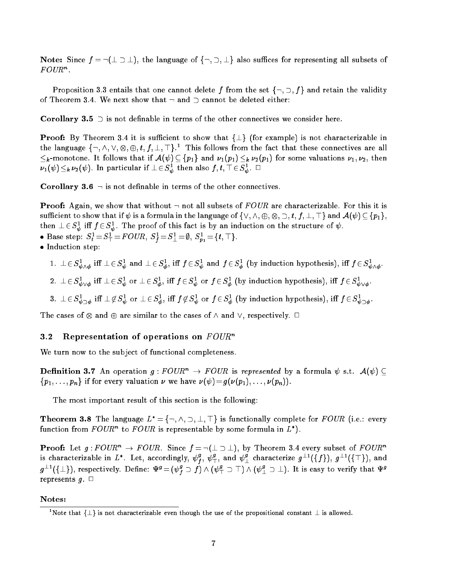Note: Since  $f = \neg(\bot \supset \bot)$ , the language of  $\{\neg, \supset, \bot\}$  also suffices for representing all subsets of rvun.

Proposition 3.3 entails that one cannot delete f from the set  $\{\neg, \supset, f\}$  and retain the validity of Theorem 3.4. We next show that  $\neg$  and  $\neg$  cannot be deleted either:

**Corollary 3.5**  $\supset$  is not definable in terms of the other connectives we consider here.

**Proof:** By Theorem 3.4 it is sufficient to show that  $\{\perp\}$  (for example) is not characterizable in the language  $\{\neg, \wedge, \vee, \otimes, \oplus, t, t, \bot, \top\}$ . This follows from the fact that these connectives are all k -monotone. It follows that if  $\{f\}$  and  $\{f1\}$  if  $\{f1\}$  if  $\{f1\}$  if  $\{f2\}$  if  $\{f1\}$  if  $\{f2\}$  if  $\{f2\}$  $\nu_1(\psi)\leq_k \nu_2(\psi).$  In particular if  $\bot\in {\cal S}_{\tilde{w}}$  then also  $f,t, \bot\in {\cal S}_{\tilde{w}}.$   $\bot$ 

**Corollary 3.6**  $\rightarrow$  is not definable in terms of the other connectives.

**Proof:** Again, we show that without  $\neg$  not all subsets of FOUR are characterizable. For this it is such that if is a formula if  $r$  is a formula in the language of f $\{r\}$  ;  $\forall$  ;  $\forall$   $r$  ;  $\forall$   $r$  ;  $\forall$   $r$  ;  $\forall$   $r$  ;  $\forall$   $r$  ;  $\forall$   $r$  ;  $\forall$   $r$  ;  $\forall$   $r$  ;  $\forall$   $r$  ;  $\forall$   $r$  ;  $\forall$   $r$  ;  $\forall$   $r$  ;  $\forall$  then  $\perp$   $\in$   $S_{\bar{\psi}}$  in  $J$   $\in$   $S_{\bar{\psi}}$ . The proof of this fact is by an induction on the structure of  $\psi$ .

- Dase step:  $S_t = S_{\perp} = r \cup \nu \pi$ ,  $S_{\overline{f}} = S_{\perp} = \nu$ ,  $S_{p_1} = \{\nu, +\}$ .
- **Induction step:** 
	- 1.  $\perp \in S_{\bar{\psi} \wedge \phi}$  in  $\perp \in S_{\bar{\psi}}$  and  $\perp \in S_{\bar{\phi}}$ , in  $J \in S_{\bar{\psi}}$  and  $J \in S_{\bar{\phi}}$  (by induction hypothesis), in  $J \in S_{\bar{\psi} \wedge \phi}$ .

-

- 2.  $\perp \in S_{\bar{\psi}\vee\phi}$  in  $\perp \in S_{\bar{\psi}}$  or  $\perp \in S_{\bar{\phi}}$ , in  $J\in S_{\bar{\psi}}$  or  $J\in S_{\bar{\phi}}$  (by induction hypothesis), in  $J\in S_{\bar{\psi}\vee\phi}$ .
- 3.  $\perp \in S_{\bar{\psi} \supset \phi}$  in  $\perp \not\in S_{\bar{\psi}}$  or  $\perp \in S_{\bar{\phi}}$ , in  $f \not\in S_{\bar{\psi}}$  or  $f \in S_{\bar{\phi}}$  (by induction hypothesis), in  $f \in S_{\bar{\psi} \supset \phi}$ .

. The cases of  $\alpha$  are similar to the cases of  $\alpha$  and  $\alpha$  and  $\alpha$ 

### **3.2** Representation of operations on  $FOUR^n$

We turn now to the subject of functional completeness.

**Definition 3.7** An operation  $g:FOUR^n \to FOUR$  is represented by a formula  $\psi$  s.t.  $\mathcal{A}(\psi)$  $\{p_1, \ldots, p_n\}$  if for every valuation  $\nu$  we have  $\nu(\psi) = g(\nu(p_1), \ldots, \nu(p_n)).$ 

The most important result of this section is the following:

Theorem 3.8 The language  $L^* = \{\neg, \wedge, \supset, \bot, \top\}$  is functionally complete for  $FOUR$  (i.e.: every function from  $F \cup U R^+$  to  $F \cup U R$  is representable by some formula in  $L$  ).

**Proof:** Let  $g : FOUR^n \to FOUR$ . Since  $f = \neg(\perp \supset \perp)$ , by Theorem 3.4 every subset of  $FOUR^n$ is characterizable in  $L^*$ . Let, accordingly,  $\psi_f^2, \ \psi_\tau^2,$  and  $\psi_\bot^s$  characterize  $g^{\pm *}(\{f\}), \ g^{\pm *}(\{\pm\}),$  and  $g^{-1}(\{\bot\})$ , respectively. Define:  $\Psi^g=(\psi_f^g\supset f)\wedge(\psi_1^g\supset\bot)\wedge(\psi_\bot^g\supset\bot)$ . It is easy to verify that  $\Psi^g$ represents  $g$ .  $\square$ 

### Notes:

<sup>&</sup>quot;Note that  $\{\bot\}$  is not characterizable even though the use of the propositional constant  $\bot$  is allowed.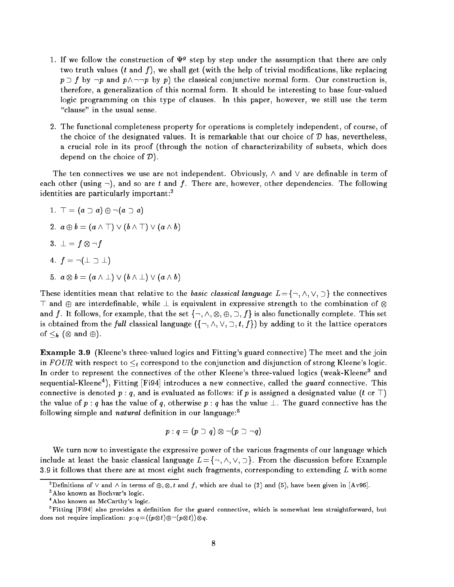- $1.$  If we follow the construction of  $\Psi^o$  step by step under the assumption that there are only two truth values  $(t \text{ and } f)$ , we shall get (with the help of trivial modifications, like replacing  $p \supset f$  by  $\neg p$  and  $p \wedge \neg \neg p$  by p) the classical conjunctive normal form. Our construction is, therefore, a generalization of this normal form. It should be interesting to base four-valued logic programming on this type of clauses. In this paper, however, we still use the term "clause" in the usual sense.
- 2. The functional completeness property for operations is completely independent, of course, of the choice of the designated values. It is remarkable that our choice of  $D$  has, nevertheless, a crucial role in its proof (through the notion of characterizability of subsets, which does depend on the choice of  $\mathcal{D}$ ).

The ten connectives we use are not independent. Obviously,  $\wedge$  and  $\vee$  are definable in term of each other (using  $\neg$ ), and so are t and f. There are, however, other dependencies. The following identities are particularly important:<sup>2</sup>

1. 
$$
\top = (a \supset a) \oplus \neg(a \supset a)
$$
  
\n2.  $a \oplus b = (a \land \top) \lor (b \land \top) \lor (a \land b)$   
\n3.  $\bot = f \otimes \neg f$   
\n4.  $f = \neg(\bot \supset \bot)$   
\n5.  $a \otimes b = (a \land \bot) \lor (b \land \bot) \lor (a \land b)$ 

These identities mean that relative to the basic classical language  $L = \{\neg, \wedge, \vee, \supset\}$  the connectives  $\top$  and  $\oplus$  are interdefinable, while  $\bot$  is equivalent in expressive strength to the combination of  $\otimes$ and f . It follows, for example, the set figures, for example, the set functionally complete. This set function is obtained from the *full* classical language  $(\{\neg, \wedge, \vee, \supset, t, f\})$  by adding to it the lattice operators of k ( and ).

Example 3.9 (Kleene's three-valued logics and Fitting's guard connective) The meet and the join in FOUR with respect to  $\lt_t$  correspond to the conjunction and disjunction of strong Kleene's logic. In order to represent the connectives of the other Kleene's three-valued logics (weak-Kleene<sup>3</sup> and  $\rm{sequential\text{-}N}$  leene  $\rm{)}$  , Fitting [Fi94] introduces a new connective, called the *quara* connective. This connective is denoted  $p: q$ , and is evaluated as follows: if  $p$  is assigned a designated value (t or  $\top$ ) the value of p : q has the value of q, otherwise p : q has the value  $\perp$ . The guard connective has the following simple and *natural* definition in our language:<sup>5</sup>

$$
p:q=(p\supset q)\otimes \neg(p\supset \neg q)
$$

We turn now to investigate the expressive power of the various fragments of our language which include at least the basic classical language  $L = \{\neg, \wedge, \vee, \supset\}$ . From the discussion before Example 3.9 it follows that there are at most eight such fragments, corresponding to extending  $L$  with some

Definitions of  $\vee$  and  $\wedge$  in terms of  $\oplus, \otimes, t$  and  $t$ , which are dual to (2) and (5), have been given in [Av96].

<sup>3</sup> Also known as Bochvar's logic.

<sup>4</sup> Also known as McCarthy's logic.

<sup>-</sup>Fitting [Fi94] also provides a definition for the guard connective, which is somewhat less straightforward, but as as a sequent and passed as  $p$  : q = ((p, O, -), O, -)) O, q.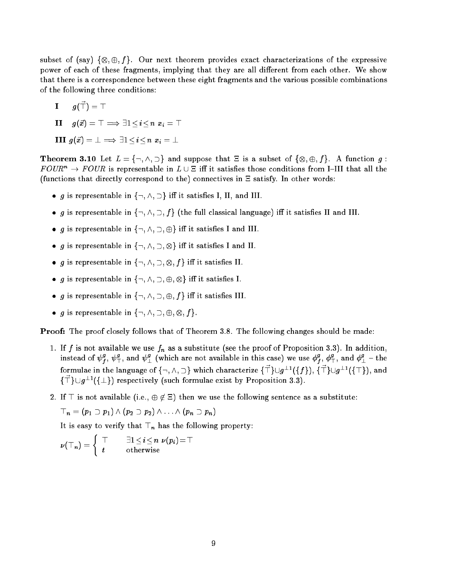subset of (say) <sup>f</sup>; ; f g. Our next theorem provides exact characterizations of the expressive power of each of these fragments, implying that they are all different from each other. We show that there is a correspondence between these eight fragments and the various possible combinations of the following three conditions:

**I** 
$$
g(\vec{\top}) = \top
$$
  
\n**II**  $g(\vec{x}) = \top \implies \exists 1 \leq i \leq n \ x_i = \top$ 

**III** 
$$
g(\vec{x}) = \bot \implies \exists 1 \leq i \leq n \; x_i = \bot
$$

 $T$  . The subset  $T$  is a subset of  $\mathbb{Z}^d$  and suppose that is a subset of function given  $\mathbb{Z}^d$  $FOUR^n \rightarrow FOUR$  is representable in  $L \cup \Xi$  iff it satisfies those conditions from I-III that all the (functions that directly correspond to the) connectives in  $\Xi$  satisfy. In other words:

- g is representable in  $\{\neg, \wedge, \supset\}$  iff it satisfies I, II, and III.
- $\bullet$  g is representable in  $\{\neg, \wedge, \supset, f\}$  (the full classical language) iff it satisfies II and III.
- g is representable in  $\{\neg, \wedge, \neg, \oplus\}$  iff it satisfies I and III.
- g is representable in fight in group in the satisfact state in  $\sim$
- $\blacksquare$ ; is representable in fig. ,  $\blacksquare$  in fig. ,  $\blacksquare$  in fig. ,  $\blacksquare$
- $\blacksquare$ is representable in finite in the internet in finite in the internet in the internet in the internet in the internet internet in the internet internet in the internet internet in the internet internet in the interne
- g is representable in  $\{\neg, \wedge, \supset, \oplus, f\}$  iff it satisfies III.
- g is representable in f:; ^; ; ; ; f g.

Proof: The proof closely follows that of Theorem 3.8. The following changes should be made:

- 1. If f is not available we use fn as a substitute (see the proof of Proposition 3.3). In addition, instead of  $\psi^s_f, \, \psi^s_\top,$  and  $\psi^s_\bot$  (which are not available in this case) we use  $\phi^s_f$  $f^\sharp_f,\,\phi_{\top}^{\bullet},\text{ and }\phi_{\bot}^{\bullet}=\text{the}$ formulae in the language of  $\{\neg, \land, \Box\}$  which characterize  $\{\top\} \cup q^{\bot}$  ( $\{\top\}$ ),  $\{\top\} \cup q^{\bot}$  ( $\{\top\}$ ), and  $\{ \Box \} \cup \{q^{-1}(\{\bot\})\}$  respectively (such formulae exist by Proposition 3.3).
- 2. If  $\top$  is not available (i.e.,  $\oplus \notin \Xi$ ) then we use the following sentence as a substitute:

$$
\top_n = (p_1 \supset p_1) \wedge (p_2 \supset p_2) \wedge \ldots \wedge (p_n \supset p_n)
$$

It is easy to verify that I  $\mu$  following property:

$$
\nu({\top}_n) = \left\{ \begin{array}{ll} {\top} & \quad \exists 1 \leq i \leq n \ \ \nu(p_i) = {\top} \\ t & \quad \text{otherwise} \end{array} \right.
$$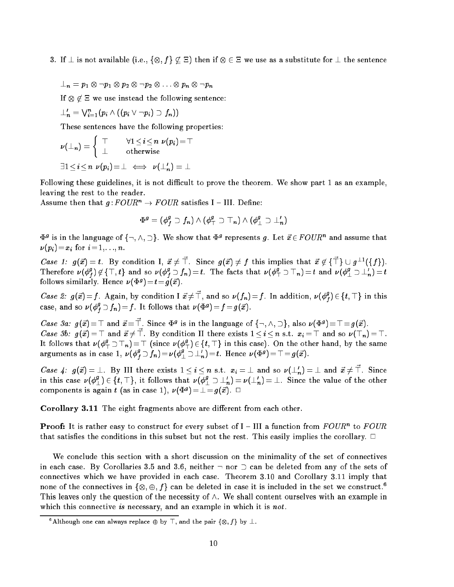- $3. \qquad \qquad$ 
	- n riversonso vrnom

If <sup>62</sup> we use instead the following sentence:

$$
\perp'_n=\vee_{i=1}^n (p_i\wedge((p_i\vee\neg p_i)\supset f_n))
$$

These sentences have the following properties:

$$
\nu(\perp_n) = \left\{ \begin{array}{cc} \top & \forall 1 \leq i \leq n \ \nu(p_i) = \top \\ \perp & \text{otherwise} \end{array} \right.
$$

$$
\exists 1 \leq i \leq n \ \nu(p_i) = \bot \iff \nu(\bot'_n) = \bot
$$

Following these guidelines, it is not difficult to prove the theorem. We show part 1 as an example, leaving the rest to the reader.

Assume then that  $g:FOUR^n \to FOUR$  satisfies I - III. Define:

$$
\Phi^g=(\phi_f^g\supset f_n)\wedge(\phi_\top^g\supset\top_n)\wedge(\phi_\bot^g\supset\bot'_n)
$$

 $\Psi^s$  is in the language of  $\{\neg, \land, \Box\}$ . We show that  $\Psi^s$  represents g. Let  $x\in r\cup n$  and assume that (pi)=xi for i= 1;: : :; n.

Case 1:  $g(x) = t$ . By condition 1,  $x \neq \infty$  since  $g(x) \neq \infty$  this implies that  $x \notin \{+\} \cup g^{-1}(\{+\})$ . 1 herefore  $\nu(\phi^2)$  $f_f^{\alpha}$   $\beta \notin \{ +, t \}$  and so  $\nu (\phi_f^{\alpha})$ follows similarly. Hence  $\nu(\Phi^g) = t = q(\vec{x})$ .  $f_{f} \supset f_n)=t.$  The facts that  $\nu (\phi_{\top}^s \supset \top_n)=t$  and  $\nu (\phi_{\bot}^s \supset \bot_n)=t$ 

*Case 2:*  $g(x) = f$ . Again, by condition  $1 x \neq \perp$ , and so  $\nu(f_n) = f$ . In addition,  $\nu(\phi_i^2) \in \{t, \perp\}$  in this  $\sim$ case, and so  $\nu(\phi_f^s \supset f_n)=f.$  It follows that  $\nu(\Phi^g)=f\!=\!g(x).$ for the contract of the con-

Case 3a:  $g(x) = |x|$  and  $x = |x|$ . Since  $\Phi^s$  is in the language of  $\{\neg, \wedge, \neg\}$ , also  $\nu(\Psi^s) = |x|$ . Case 30.  $g(x) = 0$  and  $x \neq 0$ . By condition II there exists  $1 \leq t \leq n$  s.t.  $x_i = 0$  and so  $\nu(0, n) = 0$ . It follows that  $\nu(\phi_\top^2 \supset \top_n)=\top$  (since  $\nu(\phi_\top^2) \in \{t,\top\}$  in this case). On the other hand, by the same arguments as in case  $1, \ \nu(\phi_{f}^s \supset f_n) \!=\! \nu(\phi_{\perp}^s \supset \perp_n^r) \!=\! t.$  Hence  $\nu(\Phi^g) \!=\! \top \!=\! g(x)$ .  $\cdot$ 

Case 4:  $g(x) = \bot$ . By III there exists  $1 \leq i \leq n$  s.t.  $x_i = \bot$  and so  $\nu(\bot_n) = \bot$  and  $x \neq \top$ . Since in this case  $\nu(\phi_{\perp}^s)\in\{t,+\}$ , it follows that  $\nu(\phi_{\perp}^s\supset\perp_n^r)=\nu(\perp_n^r)=\perp$ . Since the value of the other components is again t (as in case 1),  $\nu(\Psi^s) = \bot = q(x)$ .  $\Box$ 

Corollary 3.11 The eight fragments above are different from each other.

**Proof:** It is rather easy to construct for every subset of  $I = III$  a function from FOUR to FOUR that satisfies the conditions in this subset but not the rest. This easily implies the corollary.  $\Box$ 

We conclude this section with a short discussion on the minimality of the set of connectives in each case. By Corollaries 3.5 and 3.6, neither  $\neg$  nor  $\ni$  can be deleted from any of the sets of connectives which we have provided in each case. Theorem 3.10 and Corollary 3.11 imply that none of the connectives in  $\{\otimes, \oplus, \gamma\}$  can be deleted in case it is included in the set we construct.  $\gamma$ This leaves only the question of the necessity of  $\wedge$ . We shall content ourselves with an example in which this connective is necessary, and an example in which it is *not*.

Although one can always replace  $\oplus$  by  $\perp$ , and the pair  $\{\otimes, f\}$  by  $\perp$ .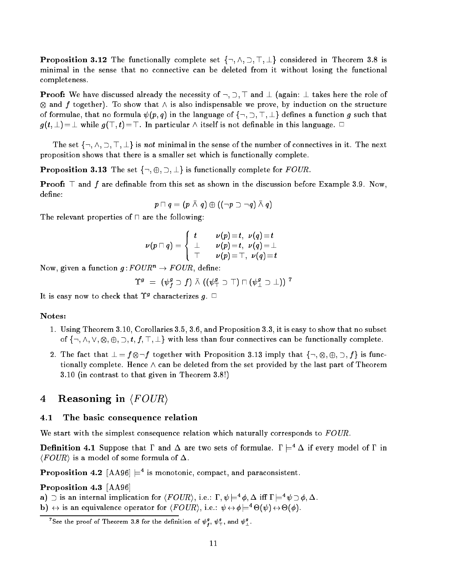**Proposition 3.12** The functionally complete set  $\{\neg, \wedge, \neg, \top, \bot\}$  considered in Theorem 3.8 is minimal in the sense that no connective can be deleted from it without losing the functional completeness.

**Proof:** We have discussed already the necessity of  $\neg$ ,  $\neg$ ,  $\neg$  and  $\perp$  (again:  $\perp$  takes here the role of  $\alpha$  -is to show that is also indice we prove that is also indice we prove the structure on the structure of formulae, that no formula  $\psi(p,q)$  in the language of  $\{\neg, \neg, \top, \bot\}$  defines a function g such that  $g(t, \perp) = \perp$  while  $g(\top, t) = \top$ . In particular  $\wedge$  itself is not definable in this language.  $\Box$ 

The set  $\{\neg, \wedge, \supset, \top, \bot\}$  is not minimal in the sense of the number of connectives in it. The next proposition shows that there is a smaller set which is functionally complete.

**Proposition 3.13** The set  $\{\neg, \oplus, \neg, \perp\}$  is functionally complete for FOUR.

**Proof:**  $\top$  and  $f$  are definable from this set as shown in the discussion before Example 3.9. Now, define:

$$
p \sqcap q = (p \barwedge q) \oplus ((\neg p \supset \neg q) \barwedge q)
$$

The relevant properties of  $\sqcap$  are the following:

$$
\nu(p \sqcap q) = \left\{ \begin{array}{ll} t & \nu(p) = t, \ \nu(q) = t \\ \bot & \nu(p) = t, \ \nu(q) = \bot \\ \top & \nu(p) = \top, \ \nu(q) = t \end{array} \right.
$$

Now, given a function  $g:FOUR^n \to FOUR$ , define:

$$
\Upsilon^g \,\,=\,\, (\psi^g_f \supset f) \,\,\bar{ \wedge } \,\, ((\psi^g_\top \supset \top) \sqcap (\psi^g_\bot \supset \bot)) \,\,{}^7
$$

It is easy now to check that  $I^{\circ}$  characterizes  $q$ .  $\sqcup$ 

### Notes:

- 1. Using Theorem 3.10, Corollaries 3.5, 3.6, and Proposition 3.3, it is easy to show that no subset of f:; ^; \_; ; ; ; t; f; >; ?g with less than four connectives can be functionally complete.
- : that is to get the fact that is function and interesting the function  $\mathbf{r}$  is function  $\mathbf{r}$  in the function  $\mathbf{r}$ tionally complete. Hence  $\wedge$  can be deleted from the set provided by the last part of Theorem 3.10 (in contrast to that given in Theorem 3.8!)

# 4 Reasoning in  $\langle \textit{FOUR} \rangle$

## 4.1 The basic consequence relation

We start with the simplest consequence relation which naturally corresponds to  $FOUR$ .

**Definition 4.1** Suppose that  $\Gamma$  and  $\Delta$  are two sets of formulae.  $\Gamma \models^4 \Delta$  if every model of  $\Gamma$  in  $\langle \text{FOUR} \rangle$  is a model of some formula of  $\Delta$ .

**Proposition 4.2**  $|AA96| \equiv 1$  is monotonic, compact, and paraconsistent.

Proposition 4.3 [AA96]

a)  $\supset$  is an internal implication for  $\langle$   $r \cup \iota \kappa \rangle$ , i.e.:  $\iota$ ,  $\psi \models \varphi$ ,  $\Delta$  in  $\iota \models \psi \supset \varphi$ ,  $\Delta$ .

 $\mathbf{b}$ )  $\leftrightarrow$  is an equivalence operator for  $\langle \mathbf{r} \cup \mathbf{v} \mathbf{r} \rangle$ , i.e.:  $\mathbf{v} \leftrightarrow \mathbf{e}$  =  $\Theta(\mathbf{v}) \leftrightarrow \Theta(\mathbf{e})$ .

f

See the proof of Theorem 3.8 for the definition of  $\psi^s_I$ ,  $\psi^s_{\top}$ , and  $\psi^s_{\bot}$ .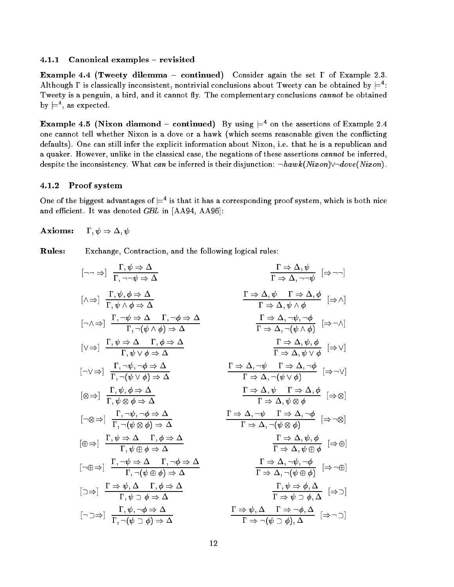## 4.1.1 Canonical examples  $-$  revisited

**Example 4.4 (Tweety dilemma - continued)** Consider again the set  $\Gamma$  of Example 2.3. Although I is classically inconsistent, nontrivial conclusions about Tweety can be obtained by  $\equiv$  : Tweety is a penguin, a bird, and it cannot fly. The complementary conclusions *cannot* be obtained  $\mathsf{pv} \models$ , as expected.

**Example 4.5** (INIXON diamond – continued) By using  $\equiv$  6 on the assertions of Example 2.4 one cannot tell whether Nixon is a dove or a hawk (which seems reasonable given the conflicting defaults). One can still infer the explicit information about Nixon, i.e. that he is a republican and a quaker. However, unlike in the classical case, the negations of these assertions cannot be inferred, despite the inconsistency. What can be inferred is their disjunction:  $\neg hawk(Nixon)\neg dove(Nixon)$ .

## 4.1.2 Proof system

One of the biggest advantages of  $\equiv$  1s that it has a corresponding proof system, which is both nice and efficient. It was denoted  $GBL$  in [AA94, AA96]:

 $\textbf{Axioms:} \hspace{5mm} \Gamma, \psi \Rightarrow \Delta, \psi$ 

Rules: Exchange, Contraction, and the following logical rules:

$$
[\neg \neg \Rightarrow] \frac{\Gamma, \psi \Rightarrow \Delta}{\Gamma, \neg \neg \psi \Rightarrow \Delta} \qquad \frac{\Gamma \Rightarrow \Delta, \psi}{\Gamma \Rightarrow \Delta, \neg \neg \psi} \Rightarrow \neg ]
$$
\n
$$
[\wedge \Rightarrow] \frac{\Gamma, \psi, \phi \Rightarrow \Delta}{\Gamma, \psi \land \phi \Rightarrow \Delta} \qquad \frac{\Gamma \Rightarrow \Delta, \psi \quad \Gamma \Rightarrow \Delta, \phi}{\Gamma \Rightarrow \Delta, \psi \land \phi} \Rightarrow \wedge ]
$$
\n
$$
[\neg \wedge \Rightarrow] \frac{\Gamma, \neg \psi \Rightarrow \Delta \quad \Gamma, \neg \phi \Rightarrow \Delta}{\Gamma, \neg (\psi \land \phi) \Rightarrow \Delta} \qquad \frac{\Gamma \Rightarrow \Delta, \neg \psi, \neg \phi}{\Gamma \Rightarrow \Delta, \neg (\psi \land \phi)} \Rightarrow \wedge ]
$$
\n
$$
[\neg \vee \Rightarrow] \frac{\Gamma, \psi \Rightarrow \Delta \quad \Gamma, \phi \Rightarrow \Delta}{\Gamma, \psi \lor \phi \Rightarrow \Delta} \qquad \frac{\Gamma \Rightarrow \Delta, \neg \psi, \neg \phi}{\Gamma \Rightarrow \Delta, \neg (\psi \land \phi)} \Rightarrow \wedge ]
$$
\n
$$
[\otimes \Rightarrow] \frac{\Gamma, \psi, \phi \Rightarrow \Delta}{\Gamma, \psi \lor \phi \Rightarrow \Delta} \qquad \frac{\Gamma \Rightarrow \Delta, \neg \psi \quad \Gamma \Rightarrow \Delta, \neg \phi}{\Gamma \Rightarrow \Delta, \neg (\psi \lor \phi)} \Rightarrow \wedge ]
$$
\n
$$
[\otimes \Rightarrow] \frac{\Gamma, \psi, \phi \Rightarrow \Delta}{\Gamma, \neg (\psi \otimes \phi) \Rightarrow \Delta} \qquad \frac{\Gamma \Rightarrow \Delta, \neg \psi \quad \Gamma \Rightarrow \Delta, \neg \phi}{\Gamma \Rightarrow \Delta, \neg (\psi \lor \phi)} \Rightarrow \wedge ]
$$
\n
$$
[\neg \otimes \Rightarrow] \frac{\Gamma, \psi \Rightarrow \Delta \quad \Gamma, \phi \Rightarrow \Delta}{\Gamma, \neg (\psi \otimes \phi) \Rightarrow \Delta} \qquad \frac{\Gamma \Rightarrow \Delta, \neg \psi \quad \Gamma \Rightarrow \Delta, \neg \phi}{\Gamma \Rightarrow \Delta, \neg (\psi \otimes \phi)} \Rightarrow \wedge ]
$$
\n
$$
[\neg \oplus \Rightarrow] \frac{\Gamma, \neg \psi \Rightarrow \Delta \quad \Gamma, \neg \phi \Rightarrow \Delta}{\Gamma, \neg (\psi \oplus \phi) \Rightarrow \Delta} \qquad \frac{\Gamma \Rightarrow \Delta, \neg \psi, \neg \phi}{\
$$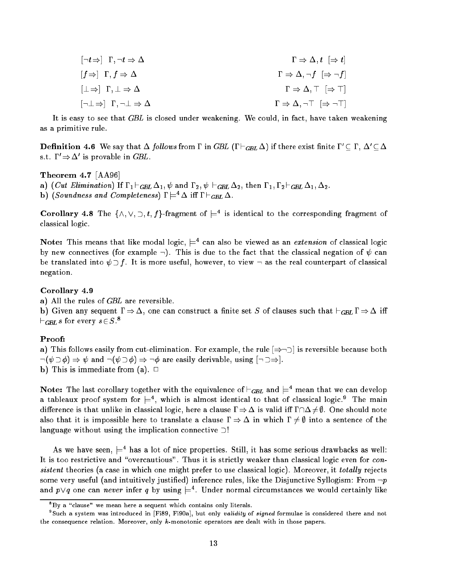| $\lceil \neg t \Rightarrow \rceil$ $\Gamma, \neg t \Rightarrow \Delta$    | $\Gamma\Rightarrow\Delta,t\;\;[\Rightarrow t]$                   |
|---------------------------------------------------------------------------|------------------------------------------------------------------|
| $[f \Rightarrow] \Gamma, f \Rightarrow \Delta$                            | $\Gamma \Rightarrow \Delta, \neg f \ \ [\Rightarrow \neg f]$     |
| $[\perp \Rightarrow] \Gamma, \perp \Rightarrow \Delta$                    | $\Gamma \Rightarrow \Delta, \top \; [\Rightarrow \top]$          |
| $\lbrack\neg\bot \Rightarrow\rbrack$ $\Gamma,\neg\bot \Rightarrow \Delta$ | $\Gamma \Rightarrow \Delta, \neg \top \ [\Rightarrow \neg \top]$ |

It is easy to see that GBL is closed under weakening. We could, in fact, have taken weakening as a primitive rule.

**Definition 4.6** We say that  $\Delta$  *follows* from I in GDL (1  $\sqcap$ GBL  $\Delta$ ) if there exist limite  $1 \subset 1$ ,  $\Delta \subset \Delta$ s.t.  $1 \Rightarrow \Delta$  is provable in GBL.

## Theorem 4.7 [AA96]

a) (*Cut Elimination*) If  $\Gamma_1 \vdash_{GBL} \Delta_1$ ,  $\psi$  and  $\Gamma_2$ ,  $\psi \vdash_{GBL} \Delta_2$ , then  $\Gamma_1$ ,  $\Gamma_2 \vdash_{GBL} \Delta_1$ ,  $\Delta_2$ .

**b**) (Sounaness and Completeness)  $i \models \Delta$  in  $i \models_{GBL} \Delta$ .

Corollary 4.8 The  $\{\land,\lor,\lor,\Box,t\}$ -fragment of  $\equiv^+$  is identical to the corresponding fragment of classical logic.

**Note:** This means that like modal logic,  $=$  can also be viewed as an *extension* of classical logic by new connectives (for example  $\lnot$ ). This is due to the fact that the classical negation of  $\psi$  can be translated into  $\psi \supset f$ . It is more useful, however, to view  $\neg$  as the real counterpart of classical negation.

### Corollary 4.9

a) All the rules of GBL are reversible.

 $\mathcal{L}$  given any set  $\mathcal{L}$  one can construct a nite set  $\mathcal{L}$  of clauses such that  $\mathcal{L}$  $\sqsubset_{GBL}$  s for every  $s \in S$  .  $\bar s$ 

### Proof:

a) This follows easily from cut-elimination. For example, the rule  $[\Rightarrow \neg]$  is reversible because both  $\neg(\psi \supset \phi) \Rightarrow \psi$  and  $\neg(\psi \supset \phi) \Rightarrow \neg \phi$  are easily derivable, using  $[\neg \supset \Rightarrow]$ . b) This is immediate from (a).  $\Box$ 

Note: The last corollary together with the equivalence of  $\vdash_{GBL}$  and  $\models^+$  mean that we can develop a tableaux proof system for  $\rightleftarrows$  , which is almost identical to that of classical logic. The main difference is that unlike in classical logic, here a clause  $\Gamma \Rightarrow \Delta$  is valid iff  $\Gamma \cap \Delta \neq \emptyset$ . One should note also that it is impossible here to translate a clause  $\Gamma \Rightarrow \Delta$  in which  $\Gamma \neq \emptyset$  into a sentence of the language without using the implication connective  $\supset$ !

As we have seen,  $\rightleftarrows$  has a lot of nice properties. Still, it has some serious drawbacks as well: It is too restrictive and "overcautious". Thus it is strictly weaker than classical logic even for  $con$ sistent theories (a case in which one might prefer to use classical logic). Moreover, it totally rejects some very useful (and intuitively justified) inference rules, like the Disjunctive Syllogism: From  $\neg p$ and  $p \vee q$  one can *never* infer q by using  $\equiv$  . Under normal circumstances we would certainly like

<sup>&</sup>quot;By a "clause" we mean here a sequent which contains only literals.

<sup>&</sup>quot;Such a system was introduced in  $\vert$ Fi89, Fi90a], but only validity of signed formulae is considered there and not the consequence relation. Moreover, only  $k$ -monotonic operators are dealt with in those papers.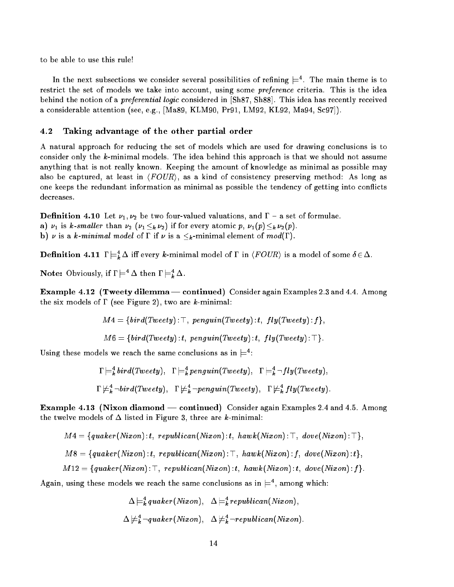to be able to use this rule!

In the next subsections we consider several possibilities of refining  $\models$  . The main theme is to restrict the set of models we take into account, using some *preference* criteria. This is the idea behind the notion of a *preferential logic* considered in [Sh87, Sh88]. This idea has recently received a considerable attention (see, e.g., [Ma89, KLM90, Pr91, LM92, KL92, Ma94, Sc97]).

## 4.2 Taking advantage of the other partial order

A natural approach for reducing the set of models which are used for drawing conclusions is to consider only the k-minimal models. The idea behind this approach is that we should not assume anything that is not really known. Keeping the amount of knowledge as minimal as possible may also be captured, at least in  $\langle FOUR\rangle$ , as a kind of consistency preserving method: As long as one keeps the redundant information as minimal as possible the tendency of getting into con
icts decreases.

**Definition 4.10** Let  $\nu_1, \nu_2$  be two four-valued valuations, and  $\Gamma$  – a set of formulae. a)  $\nu_1$  is k-smaller than  $\nu_2$  ( $\nu_1 \leq_k \nu_2$ ) if for every atomic p,  $\nu_1(p) \leq_k \nu_2(p)$ .

 $\mathbb{P}_1$  is a k-minimum model of  $\mathbb{P}_2$  is a k-minimal element of model  $\mathbb{P}_1$ .

**Definition 4.11**  $I \models_k \Delta$  in every *k*-minimal model of  $I$  in  $\langle VUUR \rangle$  is a model of some  $o \in \Delta$ .

**Note:** Obviously, if  $\mathbf{I} \models \Delta$  then  $\mathbf{I} \models_{\mathbf{k}} \Delta$ .

**Example 4.12 (Tweety dilemma — continued)** Consider again Examples 2.3 and 4.4. Among the six models of  $\Gamma$  (see Figure 2), two are k-minimal:

$$
M4 = \{bird(Tweety) : \top, \ penguin(Tweety) : t, \ fly(Tweety) : f\},
$$

$$
M6 = \{bird(Tweety) : t, penguin(Tweety) : t, fly(Tweety) : \top\}.
$$

Using these models we reach the same conclusions as in  $\equiv$ :

$$
\Gamma \models_k^4 \text{bird}(Tweety), \quad \Gamma \models_k^4 \text{penguin}(Tweety), \quad \Gamma \models_k^4 \neg fly(Tweety),
$$
  

$$
\Gamma \not\models_k^4 \neg bird(Tweety), \quad \Gamma \not\models_k^4 \neg penguin(Tweety), \quad \Gamma \not\models_k^4 fly(Tweety).
$$

**Example 4.13 (Nixon diamond — continued)** Consider again Examples 2.4 and 4.5. Among the twelve models of  $\Delta$  listed in Figure 3, three are k-minimal:

$$
M4 = \{quaker(Nixon):t, republican(Nixon):t, hawk(Nixon): \top, dove(Nixon): \top\},
$$
  
\n
$$
M8 = \{quaker(Nixon):t, republican(Nixon): \top, hawk(Nixon):f, dove(Nixon):t\},
$$
  
\n
$$
M12 = \{quaker(Nixon): \top, republican(Nixon):t, hawk(Nixon):t, dove(Nixon):f\}.
$$

Again, using these models we reach the same conclusions as in  $\equiv$  , among which:

$$
\Delta \models_k^4 quaker(Nixon), \quad \Delta \models_k^4 republican(Nixon),
$$
  

$$
\Delta \not\models_k^4 \neg quaker(Nixon), \quad \Delta \not\models_k^4 \neg republican(Nixon).
$$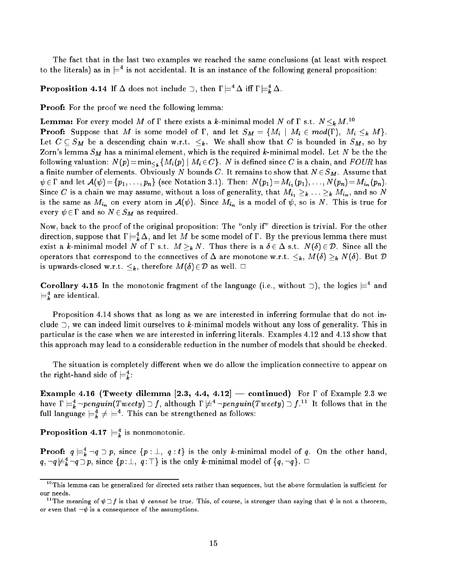The fact that in the last two examples we reached the same conclusions (at least with respect to the literals) as in  $\models$  is not accidental. It is an instance of the following general proposition:

**Proposition 4.14** If  $\Delta$  does not include  $\Box$ , then  $I \models \Delta$  iff  $I \models_k \Delta$ .

Proof: For the proof we need the following lemma:

**Lemma:** For every model M of I there exists a *k*-minimal model N of I s.t.  $N \leq_k M$ . Proof: Suppose that M is some model of , and let SM <sup>=</sup> fMi <sup>j</sup> Mi <sup>2</sup> mod(); Mi k Mg. Let  $C$  be a descending chain w.r.t. k . We shall show that  $C$  is bounded in SM , so by so by so by so by so by so by so by so by so by so by so by so by so by so by so by so by so by so by so by so by so by so by so by Zorn's lemma  $S_M$  has a minimal element, which is the required  $k\text{-minimal model.}$  Let  $N$  be the the  $\mathcal{C}$  following value  $\mathcal{C}$  is defined since  $\mathcal{C}$  is defined since  $\mathcal{C}$  is a chain, and  $\mathcal{C}$  is a chain, and  $\mathcal{C}$  is a chain, and  $\mathcal{C}$  is a chain, and  $\mathcal{C}$  is a chain, and  $\mathcal{C}$  is a chain a finite number of elements. Obviously N bounds C. It remains to show that  $N \in S_M$ . Assume that  $\psi \in \Gamma$  and let  $\mathcal{A}(\psi) = \{p_1, \ldots, p_n\}$  (see Notation 3.1). Then:  $N(p_1) = M_{i_1}(p_1), \ldots, N(p_n) = M_{i_n}(p_n)$ . Since C is a chain we may assume, without a loss of generality, that  $M_{i_1} \geq k \ldots \geq k M_{i_n}$ , and so N is the same as Min on  $\iota_n$  and it is  $\iota_{n+1}$  in  $\iota_{n+1}$  is true for  $\iota_n$  is the  $\iota_n$  is true for  $\iota_n$  is true for  $\iota_n$ every 2 and so not so the Marie and so no

Now, back to the proof of the original proposition: The "only if" direction is trivial. For the other direction, suppose that  $1 \models_{\bar{k}} \Delta$ , and let  $M$  be some model of  $1$  . By the previous lemma there must exist a k-minimal model n of  $\mathbf{n}$  and  $\mathbf{n}$  are is a  $2$  -minimal there is a  $2$  D. Since all the  $\mathbf{n}$ operators that corresponds to the connectives of are monotone w.r.t. (A) is  $\mathbb{N}$  ,  $\mathbb{N}$  ,  $\mathbb{N}$ is upwards and denote when  $\{v_j\}$  as well. 2D as well. 2D as well. 2D as well. 2D as well. 2D as well. 2D as

Corollary 4.15 In the monotonic fragment of the language (i.e., without )), the logics  $\equiv^+$  and  $\sqsubset_k$  are identical.

Proposition 4.14 shows that as long as we are interested in inferring formulae that do not include  $\supset$ , we can indeed limit ourselves to k-minimal models without any loss of generality. This in particular is the case when we are interested in inferring literals. Examples 4.12 and 4.13 show that this approach may lead to a considerable reduction in the number of models that should be checked.

The situation is completely different when we do allow the implication connective to appear on the right-hand side of  $\mathrel{\models_k}$ :

Example 4.16 (Tweety dilemma [2.3, 4.4, 4.12] – continued) For  $\Gamma$  of Example 2.3 we have  $1 \models_{\tilde{k}} \neg \textit{penguin}(\textit{1 weeky}) \supset f,$  although  $1 \not \models \neg \textit{penguin}(\textit{1 weeky}) \supset f.$  The follows that in the full language  $\sqsubset_{\bar{k}} \neq \sqsubset \cdots$  is can be strengthened as follows:

**Proposition 4.1**  $\boldsymbol{\vdash}$  is nonmonotonic.

 $\cdot$   $\cdot$ 

 $\cdot$   $\cdot$ 

**Proof:**  $q \models_{\vec{k}} \neg q \supset p$ , since  $\{p : \bot, q : t\}$  is the only *k*-minimal model of q. On the other hand,  $kq$ ,  $\neg q \not\models^4_k \neg q \supseteq p,$  since  $\{p \colon \perp, \ q \colon \top \}$  is the only  $k\text{-minimal model of } \{q, \neg q\}$ .  $\Box$ 

 $10$ This lemma can be generalized for directed sets rather than sequences, but the above formulation is sufficient for our needs.

<sup>&</sup>lt;sup>11</sup>The meaning of  $\psi \supset f$  is that  $\psi$  cannot be true. This, of course, is stronger than saying that  $\psi$  is not a theorem, or even that  $\neg \psi$  is a consequence of the assumptions.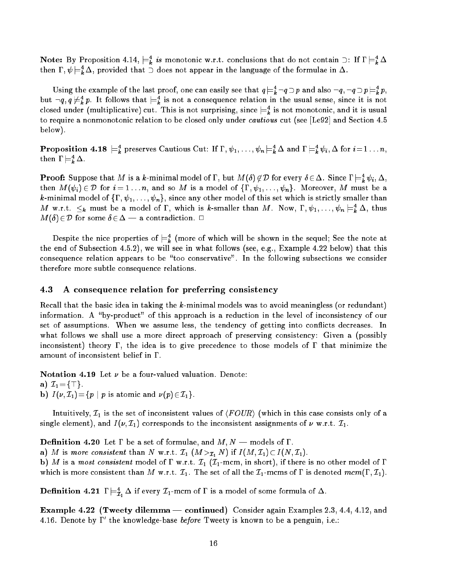**Note:** By Proposition 4.14,  $\equiv_{\vec{k}} i$  is monotonic w.r.t. conclusions that do not contain  $\supset$ : If  $\equiv_{\vec{k}} \Delta$ then  $1$  ,  $\psi \models_{\bm{\bar{k}}} \Delta$  , provided that  $\supset$  does not appear in the language of the formulae in  $\Delta$ .

Using the example of the last proof, one can easily see that  $q \models_k \neg q \supset p$  and also  $\neg q, \neg q \supset p \models_k p,$ but  $\neg q$ ,  $q \neq \vec{k}$   $p$ . It follows that  $\models \vec{k}$  is not a consequence relation in the usual sense, since it is not closed under (multiplicative) cut. This is not surprising, since  $\models_k^-$  is not monotonic, and it is usual to require a nonmonotonic relation to be closed only under cautious cut (see [Le92] and Section 4.5 below).

**Proposition 4.18**  $\sqsubset_{k}$  preserves Cautious Cut: If  $1, \psi_1, \ldots, \psi_n \sqsubset_{k} \Delta$  and  $1 \sqsubset_{k} \psi_i, \Delta$  for  $i = 1 \ldots n$ , then  $1 \vDash_k \Delta$ .

**Proof:** Suppose that M is a k-minimal model of 1, but M(0)  $\notin \mathcal{V}$  for every  $o \in \Delta$ . Since  $i \models_k^L \psi_i, \Delta$ , then  $M(\psi_i) \in \mathcal{D}$  for  $i = 1 \ldots n$ , and so M is a model of  $\{\Gamma, \psi_1, \ldots, \psi_n\}$ . Moreover, M must be a k-minimal model of  $\{\Gamma, \psi_1, \ldots, \psi_n\}$ , since any other model of this set which is strictly smaller than M w.r.t.  $\leq_k$  must be a model of I, which is k-smaller than M. Now, I,  $\psi_1, \ldots, \psi_n \models_k \Delta$ , thus  $M(\delta)\!\in\!\mathcal{D}$  for some  $\delta\!\in\!\Delta$  - a contradiction.  $\Box$ 

Despite the nice properties of  $\sqsubset_{\bm{k}}$  (more of which will be shown in the sequel; See the note at the end of Subsection 4.5.2), we will see in what follows (see, e.g., Example 4.22 below) that this consequence relation appears to be "too conservative". In the following subsections we consider therefore more subtle consequence relations.

## 4.3 <sup>A</sup> consequence relation for preferring consistency

Recall that the basic idea in taking the  $k$ -minimal models was to avoid meaningless (or redundant) information. A "by-product" of this approach is a reduction in the level of inconsistency of our set of assumptions. When we assume less, the tendency of getting into con
icts decreases. In what follows we shall use a more direct approach of preserving consistency: Given a (possibly inconsistent) theory  $\Gamma$ , the idea is to give precedence to those models of  $\Gamma$  that minimize the amount of inconsistent belief in  $\Gamma$ .

Notation 4.19 Let  $\nu$  be a four-valued valuation. Denote: a)  $\mathcal{I}_1 = \{\top\}.$ 

b)  $I(\nu, \mathcal{I}_1) = \{p \mid p \text{ is atomic and } \nu(p) \in \mathcal{I}_1\}.$ 

Intuitively,  $\mathcal{I}_1$  is the set of inconsistent values of  $\langle \text{FOUR} \rangle$  (which in this case consists only of a single element), and  $I(\nu, \mathcal{I}_1)$  corresponds to the inconsistent assignments of  $\nu$  w.r.t.  $\mathcal{I}_1$ .

**Definition 4.20** Let  $\Gamma$  be a set of formulae, and  $M, N \to \text{models of } \Gamma$ .

a) M is more consistent than N w.r.t.  $\mathcal{I}_1$   $(M >_{\mathcal{I}_1} N)$  if  $I(M, \mathcal{I}_1) \subset I(N, \mathcal{I}_1)$ .

b) M is a most consistent model of  $\Gamma$  w.r.t.  $\mathcal{I}_1$  ( $\mathcal{I}_1$ -mcm, in short), if there is no other model of  $\Gamma$ which is more consistent than M w.r.t.  $\mathcal{I}_1$ . The set of all the  $\mathcal{I}_1$ -mcms of  $\Gamma$  is denoted mcm( $\Gamma$ ,  $\mathcal{I}_1$ ).

**Definition 4.21** I  $\equiv_{\bar{\mathcal{I}}_1} \Delta$  if every  $\mathcal{I}_1$ -mcm of I is a model of some formula of  $\Delta$ .

Example 4.22 (Tweety dilemma - continued) Consider again Examples 2.3, 4.4, 4.12, and 4.16. Denote by 1 the knowledge-base *before* I weety is known to be a penguin, i.e.: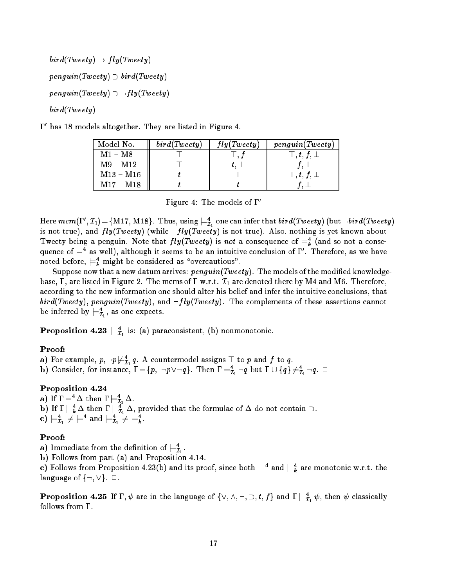$\mathit{bird}(\mathit{Tweety}) \mapsto \mathit{fly}(\mathit{Tweety})$  $penquin(Tweety) \supset bird(Tweety)$  $penguin(Tweety) \supset \neg fly(Tweety)$ bird(Tweety)

0 has 18 models altogether. They are listed in Figure 4.

| Model No.   | bird(Tweety) | fly(Tweety) | penguin(Tweety)             |
|-------------|--------------|-------------|-----------------------------|
| $M1 - M8$   |              |             | $\top$ , $t$ , $f$ , $\bot$ |
| $M9 - M12$  |              |             | $f,\perp$                   |
| $M13 - M16$ |              |             | $\top$ , $t$ , $f$ , $\bot$ |
| $M17 - M18$ |              |             |                             |

Figure 4: The models of  $\Gamma'$ 

Here  $mcm(1, 1, 1) = 1$ M17, M18}. Thus, using  $\equiv_{\mathcal{I}_1}$  one can infer that  $\mathit{otra}(1 \, \mathit{weey})$  (but  $\lnot \mathit{otra}(1 \, \mathit{weey})$ is not true), and  $fly(Tweety)$  (while  $\neg fly(Tweety)$  is not true). Also, nothing is yet known about Tweety being a penguin. Note that  $fly(1 \text{ \textit{weety}})$  is not a consequence of  $\models_k$  (and so not a consequence of  $\rightleftharpoons$  as well), although it seems to be an intuitive conclusion of  $1$  . Therefore, as we have noted before,  $\sqsubset_{\bar{k}}$  might be considered as  $\theta$  overcautious.

Suppose now that a new datum arrives:  $\mathit{penguin}(\mathit{Tweety})$  . The models of the modified knowledgebase,  $\Gamma$ , are listed in Figure 2. The mcms of  $\Gamma$  w.r.t.  $\mathcal{I}_1$  are denoted there by M4 and M6. Therefore, according to the new information one should alter his belief and infer the intuitive conclusions, that  $bird(Tweety)$ , penguin(Tweety), and  $\neg fly(Tweety)$ . The complements of these assertions cannot be inferred by  $\models_{\bar{\mathcal{I}}_1}$ , as one expects.

**Proposition 4.23**  $\equiv_{\mathcal{I}_1}^{\mathcal{I}}$  is: (a) paraconsistent, (b) nonmonotonic.

## Proof:

- a) for example,  $p, \neg p \not\equiv_{\mathcal{I}_1} q$ . A countermodel assigns  $+$  to  $p$  and  $f$  to  $q$ .
- b) Consider, for instance,  $1 = \{p, \neg p \lor \neg q\}$ . Then  $1 \models_{\mathcal{I}_1} \neg q$  but  $1 \cup \{q\} \not\models_{\mathcal{I}_1} \neg q$ .  $\Box$

# Proposition 4.24

a) if  $I \models \Delta$  then  $I \models \tilde{I}_1 \Delta$ . **b**) If  $I \models_{\vec{k}} \Delta$  then  $I \models_{\vec{\mathcal{I}}_1} \Delta$ , provided that the formulae of  $\Delta$  do not contain  $\Box$ . c)  $\sqsubset_{\mathcal{I}_{1}}$   $\neq$   $\sqsubset$  and  $\sqsubset_{\mathcal{I}_{1}}$   $\neq$   $\sqsubset_{k}$ .

## Proof:

- **a**) immediate from the definition of  $\mathrel{\models} \bar{\mathcal{I}}_1$  .
- b) Follows from part (a) and Proposition 4.14.

c) Follows from Proposition 4.25(b) and its proof, since both  $\models^+$  and  $\models^+_k$  are monotonic w.r.t. the language of  $\{\neg, \vee\}$ .  $\Box$ .

**Proposition 4.25** If 1,  $\psi$  are in the language of  $\{\vee, \wedge, \neg, \varsupset, t, f\}$  and  $1 \models_{\mathcal{I}_1}^{\neg} \psi$ , then  $\psi$  classically follows from  $\Gamma$ .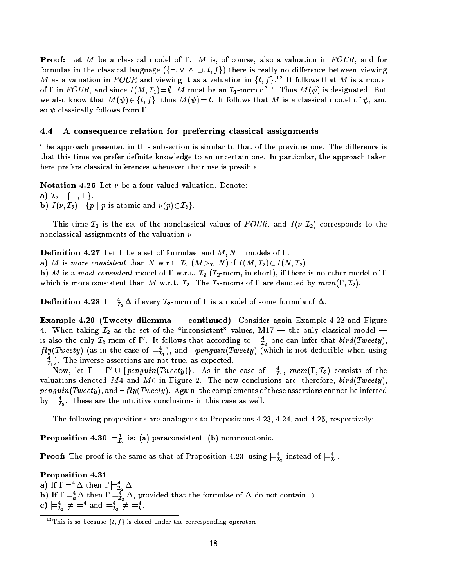**Proof:** Let M be a classical model of  $\Gamma$ . M is, of course, also a valuation in  $FOUR$ , and for formulae in the classical language  $(\{\neg, \vee, \wedge, \supset, t, f\})$  there is really no difference between viewing  $M$  as a valuation in  $F$  OUR and viewing it as a valuation in  $\{t, f\}$ . The follows that  $M$  is a model of  $\Gamma$  in  $FOUR$ , and since  $I(M, \mathcal{I}_1)=\emptyset$ , M must be an  $\mathcal{I}_1$ -mcm of  $\Gamma$ . Thus  $M(\psi)$  is designated. But we also know that  $M(\psi) \in \{t, f\}$ , thus  $M(\psi) = t$ . It follows that M is a classical model of  $\psi$ , and so  $\psi$  classically follows from  $\Gamma$ .  $\Box$ 

### 4.4 A consequence relation for preferring classical assignments

The approach presented in this subsection is similar to that of the previous one. The difference is that this time we prefer definite knowledge to an uncertain one. In particular, the approach taken here prefers classical inferences whenever their use is possible.

Notation 4.26 Let  $\nu$  be a four-valued valuation. Denote:

a)  $\mathcal{I}_2 = {\top, \bot}.$ 

b)  $I(\nu, \mathcal{I}_2) = \{p \mid p \text{ is atomic and } \nu(p) \in \mathcal{I}_2\}.$ 

This time  ${\cal I}_2$  is the set of the nonclassical values of  $FOUR,$  and  $I(\nu,{\cal I}_2)$  corresponds to the nonclassical assignments of the valuation  $\nu$ .

**Definition 4.27** Let  $\Gamma$  be a set of formulae, and  $M, N$  – models of  $\Gamma$ .

a) M is more consistent than N w.r.t.  $\mathcal{I}_2$   $(M >_{\mathcal{I}_2} N)$  if  $I(M, \mathcal{I}_2) \subset I(N, \mathcal{I}_2)$ .

b) M is a most consistent model of  $\Gamma$  w.r.t.  $\mathcal{I}_2$  ( $\mathcal{I}_2$ -mcm, in short), if there is no other model of  $\Gamma$ which is more consistent than M w.r.t.  $\mathcal{I}_2$ . The  $\mathcal{I}_2$ -mcms of  $\Gamma$  are denoted by  $mcm(\Gamma, \mathcal{I}_2)$ .

**Definition 4.28**  $I \models_{\hat{\mathcal{I}}_2} \Delta$  if every  $\mathcal{I}_2$ -mcm of I is a model of some formula of  $\Delta$ .

Example 4.29 (Tweety dilemma  $-$  continued) Consider again Example 4.22 and Figure 4. When taking  $\mathcal{I}_2$  as the set of the "inconsistent" values, M17 — the only classical model is also the only  $L_2$ -mcm of  $1$  . It follows that according to  $\equiv_{\mathcal{I}_2}$  one can infer that  $\mathit{ora}(\mathit{1} \mathit{weey}) ,$ *Jty*(*Iweety*) (as in the case of  $\equiv_{\mathcal{I}_1}$ ), and  $\neg$ *penguin*(*Iweety*) (which is not deducible when using  $\equiv_{\bar{\mathcal{I}}_1}$ ). The inverse assertions are not true, as expected.

Now, let  $1 \equiv 1^- \cup \{pengun(1 \, week) \}$ . As in the case of  $\models^{\tau}_{\mathcal{I}_1}, \ mcm(1\,,L_2)$  consists of the valuations denoted M4 and M6 in Figure 2. The new conclusions are, therefore,  $bird(Tweety)$ , penguin(Tweety), and  $\neg fly(Tweety)$ . Again, the complements of these assertions cannot be inferred by  $\mathrel{\models}\! \bar{\mathcal{I}}_2.$  I nese are the intuitive conclusions in this case as well.

The following propositions are analogous to Propositions 4.23, 4.24, and 4.25, respectively:

**Proposition 4.30**  $\equiv_{\mathcal{I}_2}^{\mathcal{I}}$  is: (a) paraconsistent, (b) nonmonotonic.

**Proof:** The proof is the same as that of Proposition 4.25, using  $\equiv_{\tilde{\mathcal{I}}_2}^{\tilde{\mathcal{I}}}$  instead of  $\equiv_{\tilde{\mathcal{I}}_1}$ .  $\sqcup$ 

Proposition 4.31 a) if  $I \models \Delta$  then  $I \models \tilde{I}_2 \Delta$ .  ${\bf b}$ ) if  ${\bf l}\models_{\bar{k}}\Delta$  then  ${\bf l}\models_{\bar{\mathcal{I}}_2}\Delta,$  provided that the formulae of  $\Delta$  do not contain  $\mathcal{I}.$ c)  $\sqsubset_{\mathcal{I}_2} \mathcal{F} \sqsubset$  and  $\sqsubset_{\mathcal{I}_2} \mathcal{F} \sqsubset_{k}$ .

<sup>&</sup>lt;sup>12</sup>This is so because  $\{t, f\}$  is closed under the corresponding operators.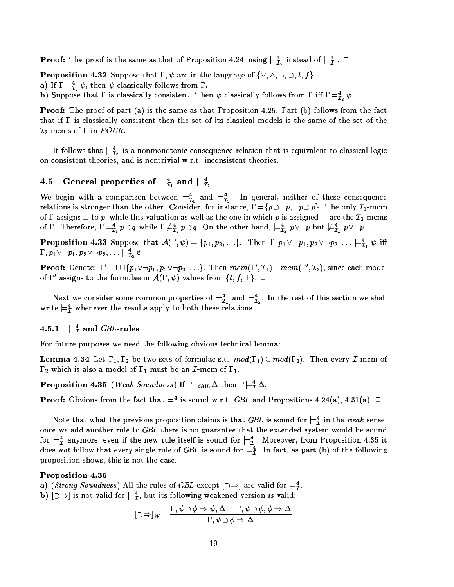**Proof:** The proof is the same as that of Proposition 4.24, using  $\equiv_{\bar{\mathcal{I}}_2}$  instead of  $\equiv_{\bar{\mathcal{I}}_1}$ .  $\sqcup$ 

**Proposition 4.32** Suppose that  $\Gamma$ ,  $\psi$  are in the language of  $\{\vee, \wedge, \neg, \supset, t, f\}.$ 

 ${\bf a}$ ) if  ${\bf 1}\models_{\bar {\bf \mathcal{I}}_2}\psi,$  then  $\psi$  classically follows from  ${\bf 1}$  .

**b**) Suppose that I is classically consistent. Then  $\psi$  classically follows from 1 in  $I = \bar{t}_2 \psi$ .

**Proof:** The proof of part (a) is the same as that Proposition 4.25. Part (b) follows from the fact that if  $\Gamma$  is classically consistent then the set of its classical models is the same of the set of the  $\mathcal{I}_2$ -mcms of  $\Gamma$  in  $FOUR$ .  $\Box$ 

It follows that  $\equiv_{\tilde{\mathcal{I}}_2}$  is a nonmonotonic consequence relation that is equivalent to classical logic on consistent theories, and is nontrivial w.r.t. inconsistent theories.

# 4.5 General properties of  $\mathrel{\models}_{\mathcal{I}_1}$  and  $\mathrel{\models}_{\mathcal{I}_2}$

We begin with a comparison between  $\models_{\tau}$  and  $\models_{\tau}$ . In general, neither of these consequence I1 I2 relations is stronger than the other. Consider, for instance, =fp :p; :ppg. The only I1-mcm of  $\Gamma$  assigns  $\bot$  to p, while this valuation as well as the one in which p is assigned  $\top$  are the  $\mathcal{I}_2$ -mcms of 1 . Therefore,  $1 \models_{\mathcal{I}_1} p \cup q$  while  $1 \not\models_{\mathcal{I}_2} p \cup q$ . On the other hand,  $\models_{\mathcal{I}_2} p \lor \neg p$  but  $\not\models_{\mathcal{I}_1} p \lor \neg p$ .

**Proposition 4.33** Suppose that  $\mathcal{A}(1, \psi) = \{p_1, p_2, \ldots\}$ . Then  $1, p_1 \vee \neg p_1, p_2 \vee \neg p_2, \ldots \models_{\mathcal{I}_1} \psi$  in  $\cdots$  ,  $p_1$  v  $\neg p_1, p_2$  v  $\neg p_2, \dots$  ,  $\sqsubset_{\mathcal{I}_2}\psi$ 

**Proof:** Denote:  $1 = 1 \cup \{p_1 \vee \neg p_1, p_2 \vee \neg p_2, \ldots\}$ . Then  $mcm(1, L_1) = mcm(1, L_2)$ , since each model of 1 assigns to the formulae in  $\mathcal{A}(1, \psi)$  values from  $\{t, f, \bot\}$ .

Next we consider some common properties of  $\equiv_{\bar{\mathcal{I}}_1}$  and  $\equiv_{\bar{\mathcal{I}}_2}$ . In the rest of this section we shall write  $\equiv_{\tilde{\mathcal{I}}}$  whenever the results apply to both these relations.

#### $4.5.1$  $\models^4_{\mathcal{I}}$  and  $G\!B\!L\text{-rules}$

For future purposes we need the following obvious technical lemma:

**Lemma 4.34** Let  $\Gamma_1, \Gamma_2$  be two sets of formulae s.t.  $mod(\Gamma_1) \subseteq mod(\Gamma_2)$ . Then every *L*-mcm of  $\Gamma_2$  which is also a model of  $\Gamma_1$  must be an *I*-mcm of  $\Gamma_1$ .

**Proposition 4.35** (*Weak Sounaness*) If  $I \sqsubset_{GBL} \Delta$  then  $I \models_{\bar{I}} \Delta$ .

**Proof:** Obvious from the fact that  $\equiv$  1s sound w.r.t. GDL and Propositions 4.24(a), 4.31(a).  $\sqcup$ 

Note that what the previous proposition claims is that GDL is sound for  $\equiv_{\mathcal{I}}$  in the weak sense; once we add another rule to GBL there is no guarantee that the extended system would be sound for  $\mathrel{\models_{\mathcal{I}}}$  anymore, even if the new rule itself is sound for  $\mathrel{\models_{\mathcal{I}}}$ . Moreover, from Proposition 4.35 it does not follow that every single rule of GBL is sound for  $\mathrel{\vDash} \tilde\tau$ . In fact, as part (b) of the following proposition shows, this is not the case.

### Proposition 4.36

a) (Strong Sounaness) All the rules of GDL except  $\Box \Rightarrow$  are valid for  $\models \overline{t}$ .

 $\mathfrak{b}$ ) [ $\Rightarrow$ ] is not valid for  $\models_{\mathcal{I}}^{\mathcal{I}},$  but its following weakened version is valid:

$$
[\Box \Rightarrow]_W \quad \frac{\Gamma, \psi \supset \phi \Rightarrow \psi, \Delta \quad \Gamma, \psi \supset \phi, \phi \Rightarrow \Delta}{\Gamma, \psi \supset \phi \Rightarrow \Delta}
$$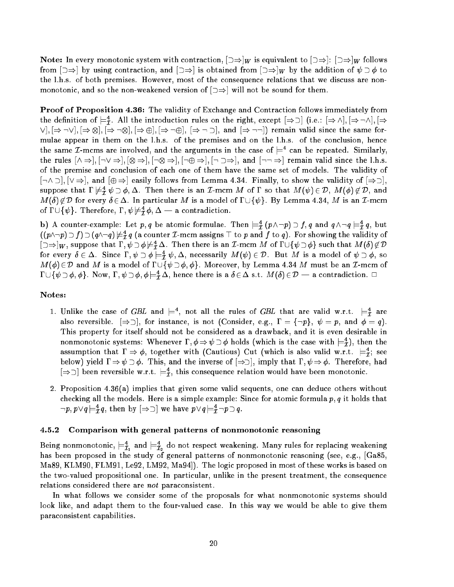Note: In every monotonic system with contraction,  $\mathbf{u}$  is equivalent to  $\mathbf{u}$ from []  $\sim$   $\tau$   $\rightarrow$   $\tau$   $\rightarrow$   $\tau$  obtained from [] is obtained from [] is  $\tau$   $\mu$   $\rightarrow$   $\tau$  of  $\tau$  of  $\tau$ the l.h.s. of both premises. However, most of the consequence relations that we discuss are nonmonotonic, and so the non-weakened version of  $\Box \Rightarrow$  will not be sound for them.

Proof of Proposition 4.36: The validity of Exchange and Contraction follows immediately from the definition of  $\models \tau$ . All the introduction rules on the right, except  $\Rightarrow$   $\cup$   $[$   $\Rightarrow$   $\wedge$   $],$   $\Rightarrow$   $\neg$  $\wedge$   $],$   $\Rightarrow$  $\blacksquare$ mulae appear in them on the l.h.s. of the premises and on the l.h.s. of the conclusion, hence the same  $L$ -mcms are involved, and the arguments in the case of  $\models$  can be repeated. Similarly, the rules [^ )]; [:\_ )]; [ )]; [: )]; [: )]; [: )], and [:: )] remain valid since the l.h.s. of the premise and conclusion of each one of them have the same set of models. The validity of  $[\neg \land \neg]$ ,  $[\lor \Rightarrow]$ , and  $[\oplus \Rightarrow]$  easily follows from Lemma 4.34. Finally, to show the validity of  $[\Rightarrow \neg]$ , suppose that  $1 \not\equiv \vec{\tau} \not\psi \supset \varphi, \Delta$ . Then there is an *L*-mcm M of I so that  $M(\psi) \in \nu$ ,  $M(\varphi) \not\in \nu$ , and  $M(\delta) \notin \mathcal{D}$  for every  $\delta \in \Delta$ . In particular M is a model of  $\Gamma \cup {\psi}$ . By Lemma 4.34, M is an *T*-mcm of  $1 \cup \{\psi\}$ . Therefore,  $1$  ,  $\psi \mathcal{\not\!\models_{\mathcal{I}}} \phi$ ,  $\Delta \models$  a contradiction.

 ${\bf b}$ ) A counter-example: Let  $p,q$  be atomic formulae. Then  $\rightleftharpoons_{\cal I} (p\wedge\neg p)\supseteq f,q$  and  $q\wedge\neg q \models_{\cal I} q,$  but  $((p\wedge \neg p)\cup f)\cup (q\wedge \neg q)\not\models {\overline{\tau}} q$  (a counter  $\bot$ -mcm assigns  $\bot$  to  $p$  and  $f$  to  $q$ ). For showing the validity of  $\Box \Rightarrow$  W, suppose that  $\mathrm{I}$  ,  $\psi \cup \phi \not\models \tilde{\mathrm{I}}$   $\Delta$ . Then there is an  $L$ -mcm M of  $\mathrm{I} \cup \{\psi \cup \phi\}$  such that M  $\langle 0 \rangle \not\in \nu$ for every  $\sigma \in \Delta$ . Since  $1$ ,  $\psi \supset \phi \models \tilde{\tau}$   $\psi$ ,  $\Delta$ , necessarily  $M(\psi) \in \mathcal{D}$ . But M is a model of  $\psi \supset \phi$ , so  $M(\phi) \in \mathcal{D}$  and M is a model of  $\Gamma \cup \{\psi \supset \phi, \phi\}$ . Moreover, by Lemma 4.34 M must be an *I*-mcm of  $[1 \cup \{\psi \cup \phi, \phi\}].$  Now,  $[1 \,, \psi \,\cup \phi, \phi \models \tilde{t} \, \Delta],$  hence there is a  $\delta \in \Delta$  s.t.  $M(\delta) \in \nu \longrightarrow a$  contradiction.  $\Box$ 

### Notes:

- 1. Unlike the case of GBL and  $\models$ , not all the rules of GBL that are valid w.r.t.  $\models \tau$  are also reversible.  $[\Rightarrow \supset]$ , for instance, is not (Consider, e.g.,  $\Gamma = \{\neg p\}$ ,  $\psi = p$ , and  $\phi = q$ ). This property for itself should not be considered as a drawback, and it is even desirable in nonmonotonic systems: whenever 1,  $\phi\Rightarrow\psi\supset\phi$  holds (which is the case with  $\models_{\tilde{\mathcal{I}}}$ ), then the assumption that  $1 \Rightarrow \varphi$ , together with (Cautious) Cut (which is also valid w.r.t.  $\models_{\mathcal{I}}$ ; see below) yield  $\Gamma \Rightarrow \psi \supset \phi$ . This, and the inverse of  $[\Rightarrow \supset]$ , imply that  $\Gamma, \psi \Rightarrow \phi$ . Therefore, had position reversible w.r.t.  $\equiv_{\overline{I}},$  this consequence relation would have been monotonic.
- 2. Proposition 4.36(a) implies that given some valid sequents, one can deduce others without checking all the models. Here is a simple example: Since for atomic formula  $p, q$  it holds that :p; p\_q j=4 <sup>I</sup> q, then by [)] we have p\_q j=4 <sup>I</sup> :pq.

### 4.5.2 Comparison with general patterns of nonmonotonic reasoning

being nonmonotonic,  $\equiv_{\bar{\mathcal{I}}_1}$  and  $\equiv_{\bar{\mathcal{I}}_2}$  do not respect weakening. Many rules for replacing weakening has been proposed in the study of general patterns of nonmonotonic reasoning (see, e.g., [Ga85, Ma89, KLM90, FLM91, Le92, LM92, Ma94]). The logic proposed in most of these works is based on the two-valued propositional one. In particular, unlike in the present treatment, the consequence relations considered there are not paraconsistent.

In what follows we consider some of the proposals for what nonmonotonic systems should look like, and adapt them to the four-valued case. In this way we would be able to give them paraconsistent capabilities.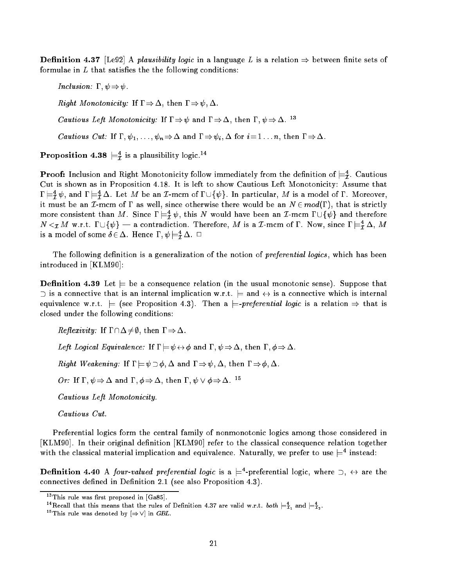**Definition 4.37** [Le92] A *plausibility logic* in a language L is a relation  $\Rightarrow$  between finite sets of formulae in  $L$  that satisfies the the following conditions:

Inclusion:  $\Gamma, \psi \Rightarrow \psi$ . *Right Monotonicity:* If  $\Gamma \Rightarrow \Delta$ , then  $\Gamma \Rightarrow \psi$ ,  $\Delta$ . *Cautious Left Monotonicity:* If  $\Gamma \Rightarrow \psi$  and  $\Gamma \Rightarrow \Delta$ , then  $\Gamma, \psi \Rightarrow \Delta$ . <sup>13</sup> *Cautious Cut:* If  $\Gamma, \psi_1, \ldots, \psi_n \Rightarrow \Delta$  and  $\Gamma \Rightarrow \psi_i, \Delta$  for  $i = 1 \ldots n$ , then  $\Gamma \Rightarrow \Delta$ .

**Proposition 4.38**  $\equiv_{\mathcal{I}}$  is a plausibility logic.<sup>11</sup>

**Proof:** Inclusion and Right Monotonicity follow immediately from the definition of  $\equiv_{\bar{I}}$ . Cautious Cut is shown as in Proposition 4.18. It is left to show Cautious Left Monotonicity: Assume that  $\mathbf{1} \models \hat{\mathbf{\tau}} \hat{\mathbf{\tau}}$  and  $\mathbf{1} \models \hat{\mathbf{\tau}}$   $\Delta$ . Let M be an L-mcm of  $\mathbf{1} \cup \{\psi\}$ . In particular, M is a model of I . Moreover, it must be an I-mcm of  $\Gamma$  as well, since otherwise there would be an  $N \in mod(\Gamma)$ , that is strictly more consistent than  $M$ . Since  $\mathbf{1} \models_T^T \psi$ , this N would have been an I-mcm  $\mathbf{1} \cup \{\psi\}$  and therefore  $N \leq \chi M$  w.r.t.  $1 \cup \{\psi\}$  — a contradiction. Therefore, M is a L-mcm of I . Now, since  $1 \models \chi \Delta$ , M is a model of some  $0 \in \Delta$ . Hence  $1, \psi \models_{\mathcal{I}} \Delta$ .  $\Box$ 

The following definition is a generalization of the notion of *preferential logics*, which has been introduced in [KLM90]:

**Definition 4.39** Let  $\equiv$  be a consequence relation (in the usual monotonic sense). Suppose that  $\supset$  is a connective that is an internal implication w.r.t.  $\models$  and  $\leftrightarrow$  is a connective which is internal equivalence w.r.t.  $=$  (see Proposition 4.3). Then a  $=$ -preferential logic is a relation  $\Rightarrow$  that is closed under the following conditions:

*Reflexivity:* If  $\Gamma \cap \Delta \neq \emptyset$ , then  $\Gamma \Rightarrow \Delta$ 

Left Logical Equivalence: If  $\Gamma \models \psi \leftrightarrow \phi$  and  $\Gamma, \psi \Rightarrow \Delta$ , then  $\Gamma, \phi \Rightarrow \Delta$ .

*Right Weakening:* If  $\Gamma \models \psi \supset \phi$ ,  $\Delta$  and  $\Gamma \Rightarrow \psi$ ,  $\Delta$ , then  $\Gamma \Rightarrow \phi$ ,  $\Delta$ .

*Or:* If  $\Gamma$ ,  $\psi \Rightarrow \Delta$  and  $\Gamma$ ,  $\phi \Rightarrow \Delta$ , then  $\Gamma$ ,  $\psi \vee \phi \Rightarrow \Delta$ . <sup>15</sup>

Cautious Left Monotonicity.

Cautious Cut.

Preferential logics form the central family of nonmonotonic logics among those considered in [KLM90]. In their original definition [KLM90] refer to the classical consequence relation together with the classical material implication and equivalence. Naturally, we prefer to use  $\mathrel{\models}^{\mathrel{\div}}$  instead:

**Definition 4.40** A *four-valued preferential logic* is a  $\equiv$  -preferential logic, where  $\supset$ ,  $\leftrightarrow$  are the connectives defined in Definition 2.1 (see also Proposition 4.3).

 $13$ This rule was first proposed in [Ga85].

The call that this means that the rules of Definition 4.37 are valid w.r.t. both  $\models \tilde{\tau}_1$  and  $\models \tilde{\tau}_2$ .

<sup>&</sup>lt;sup>15</sup>This rule was denoted by  $[\Rightarrow \vee]$  in *GBL*.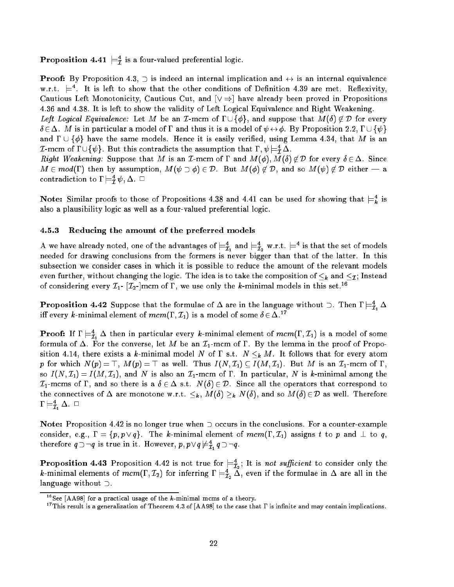**Proposition 4.41**  $\equiv_{\bar{\mathcal{I}}}$  is a four-valued preferential logic.

**Proof:** By Proposition 4.3,  $\supset$  is indeed an internal implication and  $\leftrightarrow$  is an internal equivalence w.r.t.  $\models$  . It is left to snow that the other conditions of Definition 4.39 are met. Reflexivity, Cautious Left Monotonicity, Cautious Cut, and  $[\vee \Rightarrow]$  have already been proved in Propositions 4.36 and 4.38. It is left to show the validity of Left Logical Equivalence and Right Weakening.

Left Logical Equivalence: Let M be an I-mcm of  $\Gamma \cup {\phi}$ , and suppose that  $M(\delta) \notin \mathcal{D}$  for every  $\delta \in \Delta$ . M is in particular a model of  $\Gamma$  and thus it is a model of  $\psi \leftrightarrow \phi$ . By Proposition 2.2,  $\Gamma \cup \{\psi\}$ and  $\Gamma \cup \{\phi\}$  have the same models. Hence it is easily verified, using Lemma 4.34, that M is an  $L$ -mcm of  $1 \cup \{\psi\}$ . But this contradicts the assumption that  $1$  ,  $\psi \models_T \Delta$ .

*Right Weakening:* Suppose that M is an *I*-mcm of  $\Gamma$  and  $M(\phi)$ ,  $M(\delta) \notin \mathcal{D}$  for every  $\delta \in \Delta$ . Since  $M \in mod(\Gamma)$  then by assumption,  $M(\psi \supset \phi) \in \mathcal{D}$ . But  $M(\phi) \notin \mathcal{D}$ , and so  $M(\psi) \notin \mathcal{D}$  either — a contradiction to  $\mathfrak{l}\models_{\mathcal{I}}^{\cdot}\psi,\Delta.$   $\mathord{\sqcup}$ 

**Note:** Similar proofs to those of Propositions 4.38 and 4.41 can be used for showing that  $\equiv_{\bm{k}}$  is also a plausibility logic as well as a four-valued preferential logic.

### 4.5.3 Reducing the amount of the preferred models

A we have already noted, one of the advantages of  $\models_{\tilde{\mathcal{I}}_1}$  and  $\models_{\tilde{\mathcal{I}}_2}$  w.r.t.  $\models$  - is that the set of models needed for drawing conclusions from the formers is never bigger than that of the latter. In this subsection we consider cases in which it is possible to reduce the amount of the relevant models even further, without changing the logic. The idea is to take the composition of k and I ; Instead is to take of considering every  $\mathcal{I}_1$ -  $[\mathcal{I}_2$ -]mcm of  $\Gamma$ , we use only the k-minimal models in this set.<sup>16</sup>

**Proposition 4.42** Suppose that the formulae of  $\Delta$  are in the language without  $\Box$ . Then  $\Gamma \models \tilde{\mathcal{I}}_1 \Delta$ iff every k-minimal element of  $mcm(\Gamma, \mathcal{I}_1)$  is a model of some  $\delta \in \Delta$ .<sup>17</sup>

**Proof:** If  $I \models_{\mathcal{I}_1} \Delta$  then in particular every *k*-minimal element of  $mcm(1, L_1)$  is a model of some formula of  $\Delta$ . For the converse, let M be an  $\mathcal{I}_1$ -mcm of  $\Gamma$ . By the lemma in the proof of Proposition are grown there is a communication of the state of  $\alpha$  and  $\alpha$  atomic that follows that for  $\beta$  at for p for which  $N(p) = \top$ ,  $M(p) = \top$  as well. Thus  $I(N, \mathcal{I}_1) \subseteq I(M, \mathcal{I}_1)$ . But M is an  $\mathcal{I}_1$ -mcm of  $\Gamma$ . so  $I(N, \mathcal{I}_1) = I(M, \mathcal{I}_1)$ , and N is also an  $\mathcal{I}_1$ -mcm of  $\Gamma$ . In particular, N is k-minimal among the  $\mathcal{I}_1$ -mcms of  $\Gamma$ , and so there is a  $\delta \in \Delta$  s.t.  $N(\delta) \in \mathcal{D}$ . Since all the operators that correspond to the connectives of  $\equiv$  are monotones w.r.t.  $\{N\}$  are  $\{N\}$  ,  $N=1,2,3$  denotes the  $\{N\}$   $\subseteq$  D as well-best  $\equiv$  monotones  $1\mathrel{\sqsubset_{\mathcal{I}_1}}\Delta. \;\sqcup$ 

Note: Proposition 4.42 is no longer true when  $\supset$  occurs in the conclusions. For a counter-example consider, e.g.,  $\Gamma = \{p, p \vee q\}$ . The k-minimal element of  $mem(\Gamma, \mathcal{I}_1)$  assigns t to p and  $\perp$  to q, therefore  $q \supset q$  is true in it. However,  $p, p \vee q \not\equiv \tau \mid q \supset q$ .  $-1$ 

**Proposition 4.45** Proposition 4.42 is not true for  $\equiv_{\mathcal{I}_2}$ ; it is not sufficient to consider only the  $k$ -minimal elements of  $mcm(1\,,L_2)$  for inferring  $1\models_{\mathcal{I}_2}\Delta,$  even if the formulae in  $\Delta$  are all in the language without  $\supset$ .

<sup>&</sup>lt;sup>16</sup>See [AA98] for a practical usage of the  $k$ -minimal mcms of a theory.

<sup>&</sup>lt;sup>17</sup>This result is a generalization of Theorem 4.3 of [AA98] to the case that  $\Gamma$  is infinite and may contain implications.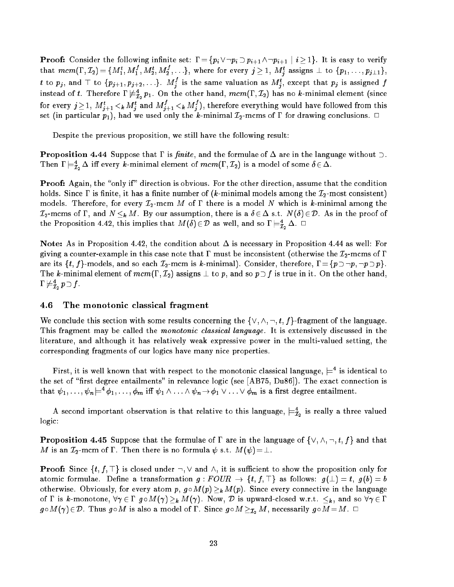$\Gamma$  . Consider the following internal internal pitchers in the following internal pitchers in the verify  $\rho$ that  $mcm(1^{\circ},L_2)=\{M_1^{\circ},M_1^{\circ},M_2^{\circ},M_2^{\circ},\ldots\},$  where for every  $j\geq 1,~M_j^{\circ}$  assigns  $\perp$  to  $\{p_1,\ldots,p_{j\perp 1}\},$ t to  $p_j$ , and  $\top$  to  $\{p_{j+1}, p_{j+2}, \ldots\}$ .  $M_j^s$  is the same valuation as  $M_j^s$ , except that  $p_j$  is assigned  $f$ instead of t. Therefore 1  $\neq_{\mathcal{I}_2}^{\mathcal{I}_2} p_1$ . On the other hand,  $mcm$  (1,  $\mathcal{I}_2$ ) has no k-minimal element (since for every  $\jmath \geq 1, \, M_{j+1}^* <_{k} M_{j}^*$  and  $M_{j+1}^* <_{k} M_{j}^*$  ), therefore everything would have followed from this set (in particular p1), had we use the king, the k-minimal I2-minimal is the k-minimal conclusions.

Despite the previous proposition, we still have the following result:

**Proposition 4.44** Suppose that  $\Gamma$  is *finite*, and the formulae of  $\Delta$  are in the language without  $\supset$ . Then  $I \models_{\mathcal{I}_2} \Delta$  in every *k*-minimal element of *mcm*(1,  $\mathcal{I}_2$ ) is a model of some  $o \in \Delta$ .

Proof: Again, the "only if" direction is obvious. For the other direction, assume that the condition holds. Since  $\Gamma$  is finite, it has a finite number of (k-minimal models among the  $\mathcal{I}_2$ -most consistent) models. Therefore, for every  $\mathcal{I}_2$ -mcm M of  $\Gamma$  there is a model N which is k-minimal among the  $\mathcal{I}_2$ -mcms of  $\Gamma$ , and  $N \leq_k M$ . By our assumption, there is a  $\delta \in \Delta$  s.t.  $N(\delta) \in \mathcal{D}$ . As in the proof of the Proposition 4.42, this implies that  $M(\theta)\!\in\!\mathcal{D}$  as well, and so  $1\models\hat{\mathcal{I}}_2\!\!\:\Delta. \;\;\Box$ 

Note: As in Proposition 4.42, the condition about  $\Delta$  is necessary in Proposition 4.44 as well: For giving a counter-example in this case note that  $\Gamma$  must be inconsistent (otherwise the  $\mathcal{I}_2$ -mcms of  $\Gamma$ are its  $\{t, f\}$ -models, and so each  $\mathcal{I}_2$ -mcm is k-minimal). Consider, therefore,  $\Gamma = \{p \supset \neg p, \neg p \supset p\}.$ The k-minimal element of  $mcm(\Gamma, \mathcal{I}_2)$  assigns  $\bot$  to  $p$ , and so  $p\supset f$  is true in it. On the other hand,  $1 \not\vDash \mathcal{I}_2 p \cup J$  .

## 4.6 The monotonic classical fragment

We conclude this section with some results concerning the  $\{\vee, \wedge, \neg, t, f\}$ -fragment of the language. This fragment may be called the *monotonic classical language*. It is extensively discussed in the literature, and although it has relatively weak expressive power in the multi-valued setting, the corresponding fragments of our logics have many nice properties.

 ${\tt r}$  irst, it is well known that with respect to the monotonic classical language,  $\models$  is identical to the set of "first degree entailments" in relevance logic (see [AB75, Du86]). The exact connection is that  $\psi_1, \ldots, \psi_n \models \varphi_1, \ldots, \varphi_m$  in  $\psi_1 \wedge \ldots \wedge \psi_n \rightarrow \varphi_1 \vee \ldots \vee \varphi_m$  is a first degree entailment.

A second important observation is that relative to this language,  $\equiv_{\mathcal{I}_2}$  is really a three valued logic:

**Proposition 4.45** Suppose that the formulae of  $\Gamma$  are in the language of  $\{\vee, \wedge, \neg, t, f\}$  and that  $M$  is an  $\mathcal{I}_2$ -mcm of  $\Gamma$  . Then there is no formula  $\psi$  s.t.  $M(\psi )\!=\!\bot$  .

**Proof:** Since  $\{t, f, \top\}$  is closed under  $\neg, \vee$  and  $\wedge$ , it is sufficient to show the proposition only for atomic formulae. Define a transformation  $g:FOUR \to \{t, f, \top\}$  as follows:  $g(\bot) = t$ ,  $g(b) = b$ otherwise. Obviously, for every atom p, g M(p) k M(p). Since every connective in the language of a state with  $\mathbf{a}$  and  $\mathbf{a}$  and  $\mathbf{a}$  and so  $\mathbf{a}$  and so  $\mathbf{a}$  $g \circ M(\gamma) \in \mathcal{D}$ . Thus  $g \circ M$  is also a model of  $\Gamma$ . Since  $g \circ M \geq_{\mathcal{I}_2} M$ , necessarily  $g \circ M = M$ .  $\Box$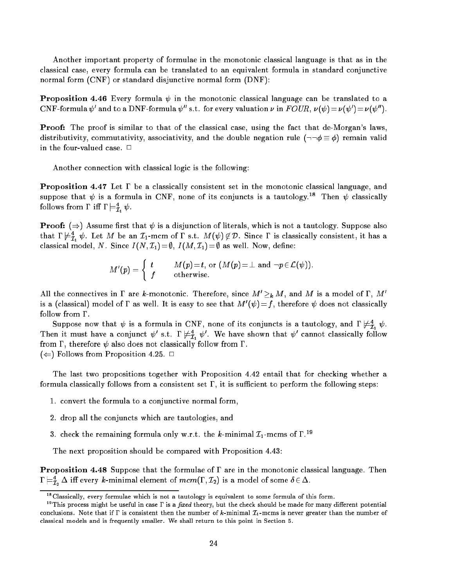Another important property of formulae in the monotonic classical language is that as in the classical case, every formula can be translated to an equivalent formula in standard conjunctive normal form (CNF) or standard disjunctive normal form (DNF):

**Proposition 4.46** Every formula  $\psi$  in the monotonic classical language can be translated to a CNF-formula  $v$  and to a DNF-formula  $v$  -s.t. for every valuation  $\nu$  in  $r$  OUR,  $\nu(v) = \nu(v) + \nu(v)$  i.

Proof: The proof is similar to that of the classical case, using the fact that de-Morgan's laws distributivity, commutativity, associativity, and the double negation rule  $(\neg\neg \phi \equiv \phi)$  remain valid in the four-valued case.  $\Box$ 

Another connection with classical logic is the following:

**Proposition 4.47** Let  $\Gamma$  be a classically consistent set in the monotonic classical language, and suppose that  $\psi$  is a formula in CNF, none of its conjuncts is a tautology. I hen  $\psi$  classically rollows from 1  $\;$  in 1  $\mathrel{\models}_{\mathcal{I}_1} v$  .

**Proof:**  $(\Rightarrow)$  Assume first that  $\psi$  is a disjunction of literals, which is not a tautology. Suppose also that  $1 \not\vDash \tilde{\tau}_1 \psi$ . Let M be an  $\iota_1$ -mcm of  $1$  s.t.  $M(\psi) \not\in \mathcal{D}$ . Since I is classically consistent, it has a classical model, N. Since  $I(N, \mathcal{I}_1) = \emptyset$ ,  $I(M, \mathcal{I}_1) = \emptyset$  as well. Now, define:

$$
M'(p) = \begin{cases} t & M(p)=t, \text{ or } (M(p)=\perp \text{ and } \neg p \in \mathcal{L}(\psi)). \\ f & \text{otherwise.} \end{cases}
$$

All the connectives in 1 are k-monotonic. Therefore, since  $M \geq k M$ , and M is a model of 1, M  $\overline{0}$ is a (classical) model of 1 as well. It is easy to see that  $M$  ( $\psi$ )  $=$  1, therefore  $\psi$  does not classically follow from  $\Gamma$ .

Suppose now that  $\psi$  is a formula in CNF, none of its conjuncts is a tautology, and  $1 \nvDash \vec{\tau}_1 \psi$ . Then it must have a conjunct  $\psi$  s.t. I  $\neq_{\tilde{I}_1} \psi$ . We have shown that  $\psi$  cannot classically follow from  $\Gamma$ , therefore  $\psi$  also does not classically follow from  $\Gamma$ .

 $(\Leftarrow)$  Follows from Proposition 4.25.  $\Box$ 

The last two propositions together with Proposition 4.42 entail that for checking whether a formula classically follows from a consistent set  $\Gamma$ , it is sufficient to perform the following steps:

- 1. convert the formula to a conjunctive normal form,
- 2. drop all the conjuncts which are tautologies, and
- 3. check the remaining formula only w.r.t. the k-minimal  $\mathcal{I}_1$ -mcms of  $\Gamma^{19}$

The next proposition should be compared with Proposition 4.43:

**Proposition 4.48** Suppose that the formulae of  $\Gamma$  are in the monotonic classical language. Then  $1 \models_{\mathcal{I}_2} \Delta$  in every *k*-minimal element of  $mcm(1\,,L_2)$  is a model of some  $o \in \Delta$ .

<sup>18</sup>Classically, every formulae which is not a tautology is equivalent to some formula of this form.

 $^{19}$ This process might be useful in case  $\Gamma$  is a *fixed* theory, but the check should be made for many different potential conclusions. Note that if  $\Gamma$  is consistent then the number of k-minimal  $\mathcal{I}_1$ -mcms is never greater than the number of classical models and is frequently smaller. We shall return to this point in Section 5.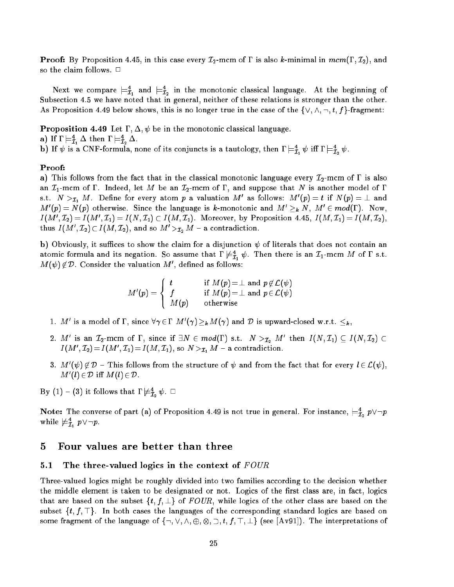**Proof:** By Proposition 4.45, in this case every  $\mathcal{I}_2$ -mcm of  $\Gamma$  is also k-minimal in  $mcm(\Gamma, \mathcal{I}_2)$ , and so the claim follows.  $\Box$ 

Next we compare  $\mathrel{\vDash} \bar{\mathcal{I}}_1$  and  $\mathrel{\vDash} \bar{\mathcal{I}}_2$  in the monotonic classical language. At the beginning of Subsection 4.5 we have noted that in general, neither of these relations is stronger than the other. As Proposition 4.49 below shows, this is no longer true in the case of the  $\{\vee, \wedge, \neg, t, f\}$ -fragment:

**Proposition 4.49** Let  $\Gamma$ ,  $\Delta$ ,  $\psi$  be in the monotonic classical language.

a) ii 1  $\sqsubset_{\bar{\mathcal{I}}_1} \Delta$  then 1  $\sqsubset_{\bar{\mathcal{I}}_2} \Delta$ .

b) if  $\psi$  is a CNF-formula, none of its conjuncts is a tautology, then  $1 \models \bar{\tau}_1 \psi$  in  $1 \models \bar{\tau}_2 \psi$ .

## Proof:

a) This follows from the fact that in the classical monotonic language every  $\mathcal{I}_2$ -mcm of  $\Gamma$  is also an  $\mathcal{I}_1$ -mcm of  $\Gamma$ . Indeed, let M be an  $\mathcal{I}_2$ -mcm of  $\Gamma$ , and suppose that N is another model of  $\Gamma$ s.t. *I*v  $>_{\mathcal{I}_1}$  *M* . Denne for every atom *p* a valuation *M* as follows: *M* ( $p$ )  $=$  t if *N*( $p$ )  $=$   $\bot$  and  $M$  (p)  $N$  (p) otherwise. Since the language is  $k$ -monotonic and  $M \geq k N$ ,  $M \in mod(1)$ . Now,  $I(M, L_2) = I(M, L_1) = I(N, L_1) \cup I(M, L_1)$ . Moreover, by Proposition 4.45,  $I(M, L_1) = I(M, L_2)$ , thus  $I(M^*, L_2) \subset I(M, L_2)$ , and so  $M^* >_{\mathcal{I}_2} M$  - a contradiction.

b) Obviously, it suffices to show the claim for a disjunction  $\psi$  of literals that does not contain an atomic formula and its negation. So assume that  $1 \not\equiv \tilde{\tau}_1$   $\psi$  . Then there is an  $\tau_1$ -mcm M of 1 s.t.  $M(\psi) \notin D$ . Consider the valuation  $M$ , defined as follows:

$$
M'(p) = \left\{ \begin{array}{ll} t & \text{if } M(p) = \perp \text{ and } p \not\in \mathcal{L}(\psi) \\ f & \text{if } M(p) = \perp \text{ and } p \in \mathcal{L}(\psi) \\ M(p) & \text{otherwise} \end{array} \right.
$$

- 1. M is a model of 1, since  $\forall \gamma \in I$  M( $\gamma$ )  $\geq_k M(\gamma)$  and D is upward-closed w.r.t.  $\leq_k$ ,
- 2. M is an  $L_2$ -mcm of I, since if  $\exists N \in mod(1)$  s.t.  $N > T_2$  M then  $I(N, L_1) \subseteq I(N, L_2) \subset$  $I(M, L_2)=I(M, L_1)=I(M, L_1)$ , so *N >* $I_1$  *M* - a contradiction.
- 3. M (  $\psi$  )  $\notin$   $D$   $-$  1 nisticultus from the structure of  $\psi$  and from the fact that for every  $\iota$   $\in$   $L(\psi$  ),  $M$   $(i) \in D$  iii  $M(i) \in D$ .

By (1) = (3) it follows that 1  $\mathrel{\models} \mathrel{\mathcal{I}}_2 \mathrel{v} . \; \sqcup$ 

**Note:** The converse of part (a) of Proposition 4.49 is not true in general. For instance,  $\equiv_{\bar{\mathcal{I}}_2}^{\mathcal{I}} p \vee \neg p$ while  $\neq_{\tilde{\mathcal{I}}_1} p \vee \neg p$ .

# <sup>5</sup> Four values are better than three

# 5.1 The three-valued logics in the context of  $FOUR$

Three-valued logics might be roughly divided into two families according to the decision whether the middle element is taken to be designated or not. Logics of the first class are, in fact, logics that are based on the subset  $\{t, f, \perp\}$  of  $FOUR$ , while logics of the other class are based on the subset  $\{t, f, \top\}$ . In both cases the languages of the corresponding standard logics are based on some fragment of the language of f:; \_; ^; ; ; ; t; f; >; ?g (see [Av91]). The interpretations of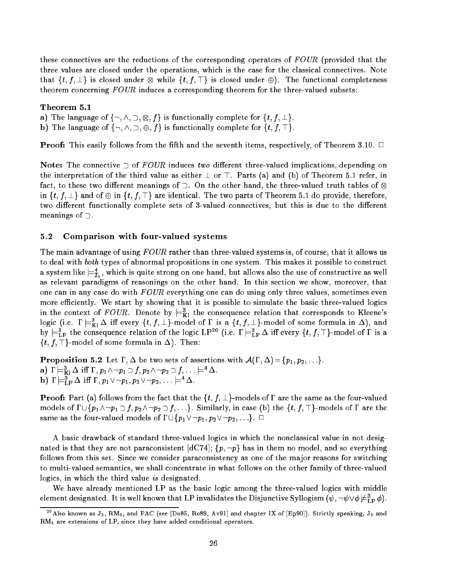these connectives are the reductions of the corresponding operators of FOUR (provided that the three values are closed under the operations, which is the case for the classical connectives. Note that fit for  $g$  is closed under  $\alpha$  is closed under  $\alpha$  is closed under  $\alpha$  is completeness. theorem concerning FOUR induces a corresponding theorem for the three-valued subsets:

### Theorem 5.1

- a) The language of functional complete for functional complete for functional complete for functional complete for functional complete for functional complete for functional complete for functional complete for functional
- b) The language of  $\{\neg, \wedge, \supset, \oplus, f\}$  is functionally complete for  $\{t, f, \top\}$ .

**Proof:** This easily follows from the fifth and the seventh items, respectively, of Theorem 3.10.  $\Box$ 

Note: The connective  $\supset$  of FOUR induces two different three-valued implications, depending on the interpretation of the third value as either  $\perp$  or  $\perp$ . Parts (a) and (b) of Theorem 5.1 refer, in fact, to these two different meanings of  $\supset$ . On the other hand, the three-valued truth tables of  $\otimes$ in  $\{t, f, \perp\}$  and of  $\oplus$  in  $\{t, f, \top\}$  are identical. The two parts of Theorem 5.1 do provide, therefore, two different functionally complete sets of 3-valued connectives, but this is due to the different meanings of  $\supset$ .

## 5.2 Comparison with four-valued systems

The main advantage of using FOUR rather than three-valued systems is, of course, that it allows us to deal with both types of abnormal propositions in one system. This makes it possible to construct a system like  $\equiv_{\tau}$  , which is quite strong on one hand, but allows also the use of constructive as well  $-1$ as relevant paradigms of reasonings on the other hand. In this section we show, moreover, that one can in any case do with  $FOUR$  everything one can do using only three values, sometimes even more efficiently. We start by showing that it is possible to simulate the basic three-valued logics in the context of  $FOUR$ . Denote by  $\models^3_{\text{Kl}}$  the consequence relation that corresponds to Kleene's logic (i.e.  $1 \models_{K1} \Delta$  in every  $\{t, J, \bot\}$ -model of 1 is a  $\{t, J, \bot\}$ -model of some formula in  $\Delta$ ), and by  $\equiv_{\text{LP}}$  the consequence relation of the logic LP<sup>22</sup> (i.e.  $1 \equiv_{\text{LP}} \Delta$  in every  $\{t, J, \perp\}$ -model of 1 is a  $\{t, f, \top\}$ -model of some formula in  $\Delta$ ). Then:

**Proposition 5.2** Let  $\Gamma$ ,  $\Delta$  be two sets of assertions with  $\mathcal{A}(\Gamma, \Delta) = \{p_1, p_2, \ldots\}$ . a) i  $\sqsubset_{\text{Kl}}$   $\vartriangle$  iii i  $,p_1$   $\land$   $\neg p_1$   $\supset$   $J$  ,  $p_2$   $\land$   $\neg p_2$   $\supset$   $J$  ,  $\ldots$   $\sqsubset$   $\vartriangle$  .  $p_j$  i  $\sqsubset_{\text{LP}} \Delta$  in i,  $p_1 \vee \neg p_1, p_2 \vee \neg p_2, \ldots \models \Delta$ .

**Proof:** Part (a) follows from the fact that the  $\{t, f, \perp\}$ -models of  $\Gamma$  are the same as the four-valued models of  $\Gamma\cup\{p_1\wedge\neg p_1\supset f, p_2\wedge\neg p_2\supset f, \ldots\}$ . Similarly, in case (b) the  $\{t, f, \top\}$ -models of  $\Gamma$  are the same as the four-valued models of  $\Gamma \cup \{p_1 \lor \neg p_1, p_2 \lor \neg p_2, \ldots\}$ .  $\Box$ 

A basic drawback of standard three-valued logics in which the nonclassical value in not designated is that they are not paraconsistent [dC74];  $\{p, \neg p\}$  has in them no model, and so everything follows from this set. Since we consider paraconsistency as one of the major reasons for switching to multi-valued semantics, we shall concentrate in what follows on the other family of three-valued logics, in which the third value is designated.

We have already mentioned LP as the basic logic among the three-valued logics with middle element designated. It is well known that LP invalidates the Disjunctive Syllogism  $(\psi, \neg \psi \lor \phi \not \models_{\mathrm{LP}} \phi).$ 

<sup>&</sup>lt;sup>20</sup>Also known as  $J_3$ , RM<sub>3</sub>, and PAC (see [Do85, Ro89, Av91] and chapter IX of [Ep90]). Strictly speaking,  $J_3$  and RM3 are extensions of LP, since they have added conditional operators.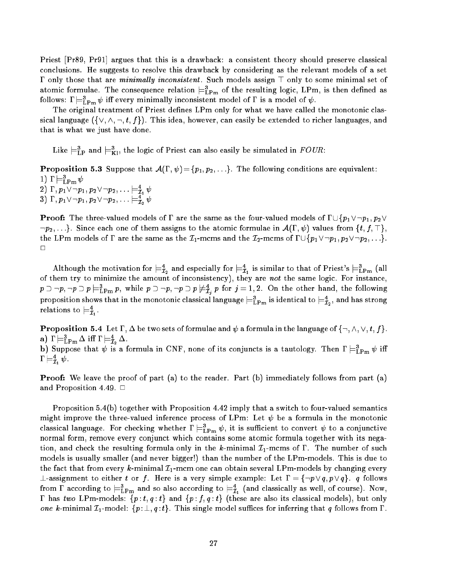Priest [Pr89, Pr91] argues that this is a drawback: a consistent theory should preserve classical conclusions. He suggests to resolve this drawback by considering as the relevant models of a set  $\Gamma$  only those that are *minimally inconsistent*. Such models assign  $\top$  only to some minimal set of atomic formulae. The consequence relation  $\equiv_{\text{LPm}}$  of the resulting logic, LPm, is then defined as follows:  $\mathbf{1} \models_{\mathrm{LPm}} \psi$  in every minimally inconsistent model of  $\mathbf{1}$  is a model of  $\psi$ .

The original treatment of Priest defines LPm only for what we have called the monotonic classical language  $(\{\vee, \wedge, \neg, t, f\})$ . This idea, however, can easily be extended to richer languages, and that is what we just have done.

Like  $\sqsubset_{\mathrm{LP}}$  and  $\sqsubset_{\mathrm{K}!}$ , the logic of Priest can also easily be simulated in  $r$  OUR:

**Proposition 5.3** Suppose that  $\mathcal{A}(\Gamma, \psi) = \{p_1, p_2, \ldots\}$ . The following conditions are equivalent:  $1$ )  $1 \vDash$  LPm  $\psi$ 

 $\{2\}$  1 ,  $p_1$   $\vee$   $\neg$   $p_1$  ,  $p_2$   $\vee$   $\neg$   $p_2$  ,  $\ldots$   $\models$   $\mathcal{I}_1$   $\psi$ 3) 1 ,  $p_1$   $\vee$   $\neg$   $p_1$  ,  $p_2$   $\vee$   $\neg$   $p_2$  ,  $\ldots$   $\models$   $\mathcal{I}_2$   $\psi$ 

**Proof:** The three-valued models of  $\Gamma$  are the same as the four-valued models of  $\Gamma \cup \{p_1 \vee \neg p_1, p_2 \vee \neg p_2\}$  $\{\tau_{p_2},\ldots\}.$  Since each one of them assigns to the atomic formulae in  $\mathcal{A}(\Gamma,\psi)$  values from  $\{t,f,\top\},$ the LPm models of  $\Gamma$  are the same as the  $\mathcal{I}_1$ -mcms and the  $\mathcal{I}_2$ -mcms of  $\Gamma \cup \{p_1 \vee \neg p_1, p_2 \vee \neg p_2, \ldots\}$ .  $\Box$ 

Although the motivation for  $\models^4_{\mathcal{I}_2}$  and especially for  $\models^4_{\mathcal{I}_1}$  is similar to that of Priest's  $\models^3_{\mathrm{LPm}}$  (all of them try to minimize the amount of inconsistency), they are not the same logic. For instance,  $p\supset\neg p,\neg p\supset p\models_{\text{LPm}} p,$  while  $p\supset\neg p,\neg p\supset p\not\equiv_{\hat{\mathcal{I}}_i} p$  for  $j=1,2.$  On the other hand, the following proposition shows that in the monotonic classical language  $\models_{\mathrm{LPm}}$  is identical to  $\models_{\mathcal{I}_2}$ , and has strong relations to  $\mathrel{\models}\! \mathcal{I}_{1}.$ 

**Proposition 5.4** Let  $\Gamma$ ,  $\Delta$  be two sets of formulae and  $\psi$  a formula in the language of  $\{\neg, \wedge, \vee, t, f\}$ . a)  $1 \vDash_{\mathrm{LPm}} \Delta$  in  $1 \vDash_{\mathcal{I}_2} \Delta$ . b) Suppose that  $\psi$  is a formula in CNF, none of its conjuncts is a tautology. Then  $1 \models_{\text{LPm}} \psi$  in  $1 \vDash \tilde{I}_1 \psi.$ 

**Proof:** We leave the proof of part (a) to the reader. Part (b) immediately follows from part (a) and Proposition 4.49.  $\Box$ 

Proposition 5.4(b) together with Proposition 4.42 imply that a switch to four-valued semantics might improve the three-valued inference process of LPm: Let  $\psi$  be a formula in the monotonic classical language. For checking whether  $1\models_{\text{LPm}}\psi,$  it is sumclent to convert  $\psi$  to a conjunctive normal form, remove every conjunct which contains some atomic formula together with its negation, and check the resulting formula only in the k-minimal  $\mathcal{I}_1$ -mcms of  $\Gamma$ . The number of such models is usually smaller (and never bigger!) than the number of the LPm-models. This is due to the fact that from every k-minimal  $\mathcal{I}_1$ -mcm one can obtain several LPm-models by changing every  $\bot$ -assignment to either  $t$  or  $f$ . Here is a very simple example: Let  $\Gamma = \{\neg p \vee q, p \vee q\}$ .  $q$  follows from 1 according to  $\equiv_{\text{LPm}}$  and so also according to  $\equiv_{\bar{\mathcal{I}}_1}$  (and classically as well, of course). Now,  $\Gamma$  has two LPm-models:  $\{p : t, q : t\}$  and  $\{p : f, q : t\}$  (these are also its classical models), but only one k-minimal  $\mathcal{I}_1$ -model:  $\{p : \perp, q : t\}$ . This single model suffices for inferring that q follows from  $\Gamma$ .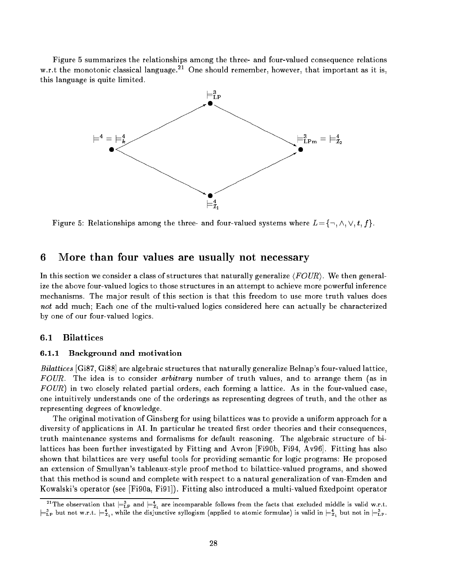Figure 5 summarizes the relationships among the three- and four-valued consequence relations w.r.t the monotonic classical language.<sup>21</sup> One should remember, however, that important as it is, this language is quite limited.



Figure 5: Relationships among the three- and four-valued systems where  $L = \{\neg, \wedge, \vee, t, f\}$ .

# 6 More than four values are usually not necessary

In this section we consider a class of structures that naturally generalize  $\langle FOUR\rangle$ . We then generalize the above four-valued logics to those structures in an attempt to achieve more powerful inference mechanisms. The major result of this section is that this freedom to use more truth values does not add much; Each one of the multi-valued logics considered here can actually be characterized by one of our four-valued logics.

## 6.1 Bilattices

### 6.1.1 Background and motivation

Bilattices  $[G187, Gi88]$  are algebraic structures that naturally generalize Belnap's four-valued lattice, FOUR. The idea is to consider arbitrary number of truth values, and to arrange them (as in  $FOUR$ ) in two closely related partial orders, each forming a lattice. As in the four-valued case. one intuitively understands one of the orderings as representing degrees of truth, and the other as representing degrees of knowledge.

The original motivation of Ginsberg for using bilattices was to provide a uniform approach for a diversity of applications in AI. In particular he treated first order theories and their consequences, truth maintenance systems and formalisms for default reasoning. The algebraic structure of bilattices has been further investigated by Fitting and Avron [Fi90b, Fi94, Av96]. Fitting has also shown that bilattices are very useful tools for providing semantic for logic programs: He proposed an extension of Smullyan's tableaux-style proof method to bilattice-valued programs, and showed that this method is sound and complete with respect to a natural generalization of van-Emden and Kowalski's operator (see [Fi90a, Fi91]). Fitting also introduced a multi-valued fixedpoint operator

The observation that  $\models$ <sub>LP</sub> and  $\models$ <sub>L<sub>1</sub></sub> are incomparable follows from the facts that excluded middle is valid w.r.t.<br> $\models$ L<sub>1</sub><sup>3</sup><sub>L</sub><sub>2</sub> but not w.r.t.  $\models$ <sup>4</sup><sub>L1</sub>, while the disjunctive syllogism (applied to atomic formul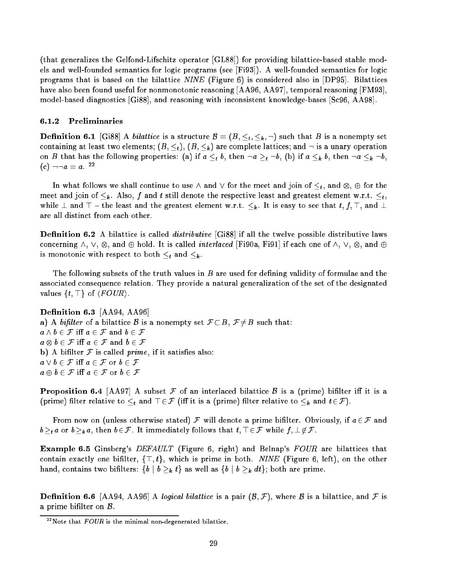(that generalizes the Gelfond-Lifschitz operator [GL88]) for providing bilattice-based stable models and well-founded semantics for logic programs (see [Fi93]). A well-founded semantics for logic programs that is based on the bilattice NINE (Figure 6) is considered also in [DP95]. Bilattices have also been found useful for nonmonotonic reasoning [AA96, AA97], temporal reasoning [FM93], model-based diagnostics [Gi88], and reasoning with inconsistent knowledge-bases [Sc96, AA98].

### 6.1.2 Preliminaries

Denition 6.1 [Gi88] A bilattice is a structure <sup>B</sup> = (B; t; k ; :) such that <sup>B</sup> is a nonempty set containing at least two elements;  $(B, \leq_t), (B, \leq_k)$  are complete lattices; and  $\neg$  is a unary operation on B that if a the following properties: (a) if a transition is a transition of a transition of a k b, then if a k  $\mu$  $|c| = a$ .  $-$ 

In what follows we shall continue to use  $\mu$  and  $\mu$  and  $\mu$  for the meet and  $\mu$  for the meet and  $\mu$ meet and joint to k . Also, f and t still denote the respective least and greatest concerned w.r.t. t, t while  ${\bf n}$  and the greatest element w.r.t. k . It is easy to see that the greatest element w.r.t. is easy to see that t are all distinct from each other.

**Definition 6.2** A bilattice is called *distributive* [Gi88] if all the twelve possible distributive laws , and it is called interlaced interlaced interlaced interlaced interlaced interlaced in the called interlaced is monotonic with respect to both t and k .

The following subsets of the truth values in B are used for defining validity of formulae and the associated consequence relation. They provide a natural generalization of the set of the designated values  $\{t, \top\}$  of  $\langle \text{FOUR} \rangle$ .

Definition 6.3 [AA94, AA96] a) A bifilter of a bilattice B is a nonempty set  $\mathcal{F} \subset B$ ,  $\mathcal{F} \neq B$  such that:  $a \wedge b \in \mathcal{F}$  iff  $a \in \mathcal{F}$  and  $b \in \mathcal{F}$ a b 2 F and b 2 F and b 2 F and b 2 F and b 2 F and b 2 F and b 2 F and b 2 F and b 2 F and b 2 F and b b) A bifilter  $F$  is called prime, if it satisfies also:  $a \vee b \in \mathcal{F}$  iff  $a \in \mathcal{F}$  or  $b \in \mathcal{F}$  $a \oplus b \in \mathcal{F}$  iff  $a \in \mathcal{F}$  or  $b \in \mathcal{F}$ 

**Proposition 6.4** [AA97] A subset F of an interlaced bilattice B is a (prime) bifilter iff it is a  $\mathbf{p}$  is a contractive to the contraction of an and the contraction of  $\mathbf{p}$  is a contraction of 2F (iii).

From now on (unless otherwise stated)  $\mathcal F$  will denote a prime bifilter. Obviously, if  $a \in \mathcal F$  and bt a or bk a, then b 2F. It is immediately follows that t; . 2F. While f; . 62F.

**Example 6.5** Ginsberg's *DEFAULT* (Figure 6, right) and Belnap's FOUR are bilattices that contain exactly one bifilter,  $\{\top, t\}$ , which is prime in both. NINE (Figure 6, left), on the other hand, contains two bilters: fb <sup>j</sup> b k tg as well as fb <sup>j</sup> <sup>b</sup> k dtg; both are prime.

**Definition 6.6** [AA94, AA96] A logical bilattice is a pair  $(\mathcal{B}, \mathcal{F})$ , where  $\mathcal{B}$  is a bilattice, and  $\mathcal F$  is a prime bifilter on  $B$ .

 $22$ Note that  $FOUR$  is the minimal non-degenerated bilattice.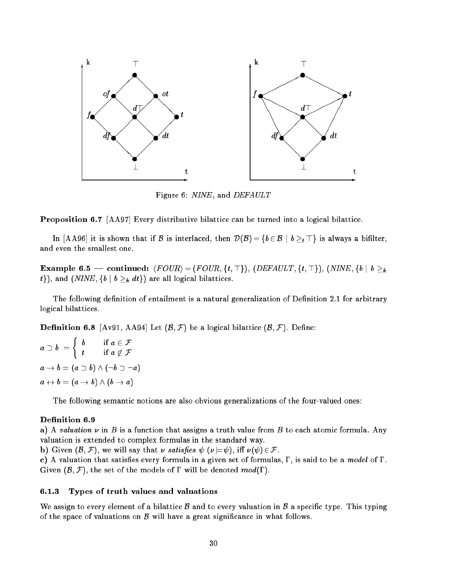

Figure 6: NINE, and DEFAULT

Proposition 6.7 [AA97] Every distributive bilattice can be turned into a logical bilattice.

In [AA96] it is shown that if B is interlaced, then D(B)  $\{m,j=1,\ldots,k-1\}$  and  $\{m,j=1,\ldots,k-1\}$ and even the smallest one.

Example 6.5 | continued: hF OURi = (F OUR; ft; >g), (DEFAULT ; ft; >g), (NINE ; fb <sup>j</sup> b k the contraction of the contraction of  $\mathbf{h}$  is and  $\mathbf{h}$  bilattices. In the area are all logical bilattices.

The following definition of entailment is a natural generalization of Definition 2.1 for arbitrary logical bilattices.

**Definition 6.8** [Av91, AA94] Let  $(\mathcal{B}, \mathcal{F})$  be a logical bilattice  $(\mathcal{B}, \mathcal{F})$ . Define:

$$
a \supset b = \begin{cases} b & \text{if } a \in \mathcal{F} \\ t & \text{if } a \notin \mathcal{F} \end{cases}
$$

$$
a \to b = (a \supset b) \land (\neg b \supset \neg a)
$$

$$
a \leftrightarrow b = (a \to b) \land (b \to a)
$$

The following semantic notions are also obvious generalizations of the four-valued ones:

### Definition 6.9

a) A valuation  $\nu$  in B is a function that assigns a truth value from B to each atomic formula. Any valuation is extended to complex formulas in the standard way.

**b**) Given  $(\mathcal{B}, \mathcal{F})$ , we will say that  $\nu$  satisfies  $\psi$  ( $\nu \models \psi$ ), iff  $\nu(\psi) \in \mathcal{F}$ .

c) A valuation that satisfies every formula in a given set of formulas,  $\Gamma$ , is said to be a model of  $\Gamma$ . Given  $(\mathcal{B}, \mathcal{F})$ , the set of the models of  $\Gamma$  will be denoted  $mod(\Gamma)$ .

### 6.1.3 Types of truth values and valuations

We assign to every element of a bilattice  $\beta$  and to every valuation in  $\beta$  a specific type. This typing of the space of valuations on  $\beta$  will have a great significance in what follows.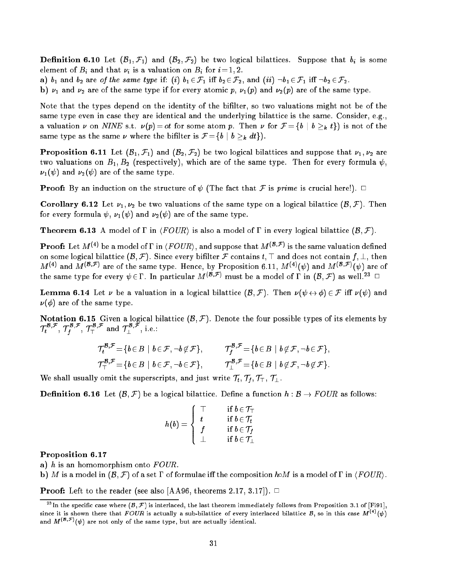**Definition 6.10** Let  $(\mathcal{B}_1, \mathcal{F}_1)$  and  $(\mathcal{B}_2, \mathcal{F}_2)$  be two logical bilattices. Suppose that  $b_i$  is some element of  $B$  and that if is a valuation on Bi for  $\mathcal{L}$  is a  $\mathcal{L}$ 

a)  $b_1$  and  $b_2$  are of the same type if: (i)  $b_1 \in \mathcal{F}_1$  iff  $b_2 \in \mathcal{F}_2$ , and (ii)  $\neg b_1 \in \mathcal{F}_1$  iff  $\neg b_2 \in \mathcal{F}_2$ .

b)  $\nu_1$  and  $\nu_2$  are of the same type if for every atomic p,  $\nu_1(p)$  and  $\nu_2(p)$  are of the same type.

Note that the types depend on the identity of the bilter, so two valuations might not be of the same type even in case they are identical and the underlying bilattice is the same. Consider, e.g., and the value time on  $\mathbf{p}$  is not for  $\mathbf{p}$  is not of the form p. Then  $\mathbf{p}$  b is not of the then  $\mathbf{p}$  is not of the then  $\mathbf{p}$  is not of the then  $\mathbf{p}$  is not of the then  $\mathbf{p}$  is not of the then same type as the same is the bilter the bilter is  $\mathbf{v} = \mathbf{r}$  in the distribution

**Proposition 6.11** Let  $(\mathcal{B}_1, \mathcal{F}_1)$  and  $(\mathcal{B}_2, \mathcal{F}_2)$  be two logical bilattices and suppose that  $\nu_1, \nu_2$  are two valuations on  $B_1, B_2$  (respectively), which are of the same type. Then for every formula  $\psi$ ,  $\nu_1(\psi)$  and  $\nu_2(\psi)$  are of the same type.

**Proof:** By an induction on the structure of  $\psi$  (The fact that F is prime is crucial here!).  $\Box$ 

**Corollary 6.12** Let  $\nu_1, \nu_2$  be two valuations of the same type on a logical bilattice  $(\mathcal{B}, \mathcal{F})$ . Then for every formula  $\psi$ ,  $\nu_1(\psi)$  and  $\nu_2(\psi)$  are of the same type.

**Theorem 6.13** A model of  $\Gamma$  in  $\langle \text{FOUR} \rangle$  is also a model of  $\Gamma$  in every logical bilattice  $(\mathcal{B}, \mathcal{F})$ .

**Proof:** Let M  $\cdot$  be a model of I in  $\langle$  POUR), and suppose that M  $\cdot$  F  $\prime$  is the same valuation defined on some logical bilattice  $(B, \mathcal{F})$ . Since every bifilter  $\mathcal F$  contains  $t, \top$  and does not contain  $f, \bot$ , then  $M^{(+)}$  and  $M^{(+)}$  are of the same type. Hence, by Proposition 6.11,  $M^{(+)}( \psi )$  and  $M^{(+)}$  (w) are of the same type for every  $v \in I$  . In particular  $M \stackrel{\sim}{\longrightarrow} r$  must be a model of 1 in (B; F) as well.<sup>24</sup> 22

**Lemma 6.14** Let  $\nu$  be a valuation in a logical bilattice  $(B, \mathcal{F})$ . Then  $\nu(\psi \leftrightarrow \phi) \in \mathcal{F}$  iff  $\nu(\psi)$  and  $\nu(\phi)$  are of the same type.

**Notation 6.15** Given a logical bilattice  $(B, \mathcal{F})$ . Denote the four possible types of its elements by  $T_t$ <sup>t</sup>,  $T_t$ <sup>t</sup>  $f^{\text{F}}$ ,  $f^{\text{F}}$  and  $f^{\text{F}}$ , i.e.:

$$
\mathcal{T}^{\mathcal{B},\mathcal{F}}_t = \{b \in B \mid b \in \mathcal{F}, \neg b \notin \mathcal{F}\}, \qquad \mathcal{T}^{\mathcal{B},\mathcal{F}}_f = \{b \in B \mid b \notin \mathcal{F}, \neg b \in \mathcal{F}\},\newline \mathcal{T}^{\mathcal{B},\mathcal{F}}_T = \{b \in B \mid b \in \mathcal{F}, \neg b \in \mathcal{F}\}, \qquad \mathcal{T}^{\mathcal{B},\mathcal{F}}_L = \{b \in B \mid b \notin \mathcal{F}, \neg b \notin \mathcal{F}\}.
$$

We shall usually omit the superscripts, and just write  $\eta$ ; This  $\eta$ 

**Definition 6.16** Let  $(\mathcal{B}, \mathcal{F})$  be a logical bilattice. Define a function  $h : \mathcal{B} \to \text{FOUR}$  as follows:

$$
h(b) = \begin{cases} \top & \text{if } b \in \mathcal{T}_{\top} \\ t & \text{if } b \in \mathcal{T}_{t} \\ f & \text{if } b \in \mathcal{T}_{f} \\ \bot & \text{if } b \in \mathcal{T}_{\perp} \end{cases}
$$

Proposition 6.17

a) h is an homomorphism onto  $FOUR$ .

b) M is a model in  $(\mathcal{B}, \mathcal{F})$  of a set  $\Gamma$  of formulae iff the composition hoM is a model of  $\Gamma$  in  $\langle \text{FOUR} \rangle$ .

**Proof:** Left to the reader (see also [AA96, theorems 2.17, 3.17]).  $\Box$ 

<sup>&</sup>lt;sup>23</sup>In the specific case where  $(B, \mathcal{F})$  is interlaced, the last theorem immediately follows from Proposition 3.1 of [Fi91], since it is shown there that FOUR is actually a sub-bilattice of every interlaced bilattice B, so in this case  $M^{(4)}(\psi)$ and  $M^{(n+1)}$  ( $\psi$ ) are not only of the same type, but are actually identical.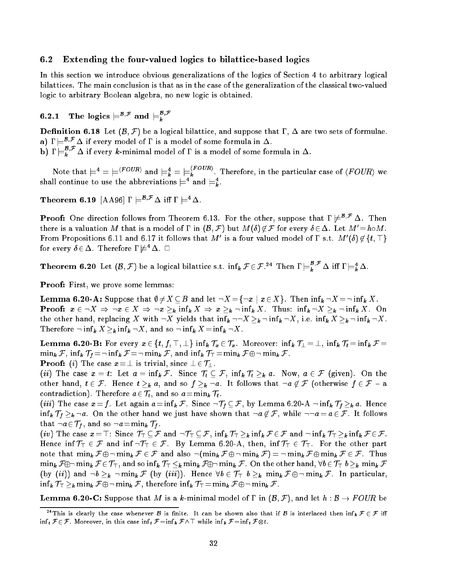## 6.2 Extending the four-valued logics to bilattice-based logics

In this section we introduce obvious generalizations of the logics of Section 4 to arbitrary logical bilattices. The main conclusion is that as in the case of the generalization of the classical two-valued logic to arbitrary Boolean algebra, no new logic is obtained.

# 6.2.1 The logics  $\equiv^{B,\tau}$  and  $\equiv^{B,\tau}$

**Definition 6.18** Let  $(\mathcal{B}, \mathcal{F})$  be a logical bilattice, and suppose that  $\Gamma$ ,  $\Delta$  are two sets of formulae. a)  $\Gamma \models^{\mathcal{B},\mathcal{F}} \Delta$  if every model of  $\Gamma$  is a model of some formula in  $\Delta$ .

b) I  $\models_k^r \Delta$  if every k-minimal model of I is a model of some formula in  $\Delta$ .

Note that  $\models^*=\models^{\vee}\circ\circ\iota\circ$  and  $\models^*_k=\models^{\vee}_k\circ\circ\iota\circ$ . Therefore, in the particular case of  $\langle FOUR\rangle$  we shall continue to use the abbreviations  $\models$  and  $\models_k.$ 

Theorem 6.19  $\left[\text{AA96}\right]\Gamma\models^{\mathcal{B},\mathcal{F}}\Delta\text{ iff }\Gamma\models^4\Delta.$ 

**Proof:** One direction follows from Theorem 6.13. For the other, suppose that  $\Gamma \not\models^{\mathcal{B},\mathcal{F}} \Delta$ . Then there is a valuation M that is a model of  $\Gamma$  in  $(\mathcal{B}, \mathcal{F})$  but  $M(\delta) \notin \mathcal{F}$  for every  $\delta \in \Delta$ . Let  $M' = h \circ M$ . **Prometropositions 6.11 and 6.17 it follows that M** is a four valued model of F s.t. M  $[0]\notin\{t,+\}$ for every  $\delta \in \Delta$ . Therefore  $\Gamma \not\models^4 \Delta$ .  $\Box$ 

**Theorem 6.20** Let  $(B, F)$  be a logical bilattice s.t.  $\inf_k F \in F.^{2*}$  Then  $\Gamma \models_k^* \Delta$  iff  $\Gamma \models_k^* \Delta$ .

Proof: First, we prove some lemmas:

Lemma 6.20-A: Suppose that ; 6=X B and let :X =f:x <sup>j</sup> <sup>x</sup> 2Xg. Then inf k :X =: inf <sup>k</sup> X. Proof: x 2 :X ) :x <sup>2</sup> X ) :x k inf <sup>k</sup> <sup>X</sup> ) <sup>x</sup> k : infk X. Thus: inf <sup>k</sup> :X k : infk X. On the other hand, replacing  $\mathbf{r}_i$  is infinite inferred that infinite infinite infinite infinite infinite infinite infinite infinite infinite infinite infinite infinite infinite infinite infinite infinite infinite infini  $T$  in fact in fact the solution  $\mathcal{M}$  in the influence  $\mathcal{M}$  in the influence  $\mathcal{M}$  influence  $\mathcal{M}$  in  $\mathcal{M}$  in  $\mathcal{M}$ 

Lemma 6.20-B: For every x 2 ft; f; >; ?g inf k Tx 2 Tx. Moreover: inf <sup>k</sup> T? <sup>=</sup> ?, inf <sup>k</sup> Tt = inf <sup>k</sup> <sup>F</sup> <sup>=</sup> mink f, inf k the first form inf k formulation in the first first formulation in the first first first first f

**Proof:** (i) The case  $x = \perp$  is trivial, since  $\perp \in \mathcal{T}_\perp$ .

(ii) The case  $\mathbf{h}$  is the case  $\mathbf{h}$  information  $\mathbf{h}$  in the  $\mathbf{h}$  a. Now, a  $\mathbf{h}$  on the  $\mathbf{h}$ other hands, t 2 F. Hence t k a, and so f k a, and so f that we have that it follows that it for an contradiction). Therefore a2 Tt, and so a=mink Tt.

(iii) The case  $\alpha$  inf  $\alpha$  inf  $\alpha$  inf k and  $\alpha$  inf k a. Hence  $\alpha$  information  $\alpha$  information  $\alpha$  a. Hence in the  $\alpha$ infikit information that is also the other we just have shown that  $\alpha$  in  $\mathcal{F}$  is a complete  $\alpha$  in that  $\alpha$ that :a 2 Tf , and so :a=mink Tf .

(iv) The case  $x = \top$ : Since  $\mathcal{T}_{\top} \subseteq \mathcal{F}$  and  $\neg \mathcal{T}_{\top} \subseteq \mathcal{F}$ ,  $\inf_k \mathcal{T}_{\top} \geq_k \inf_k \mathcal{F} \in \mathcal{F}$  and  $\neg \inf_k \mathcal{T}_{\top} \geq_k \inf_k \mathcal{F} \in \mathcal{F}$ . Hence inf  $\mathcal{T}_{\top} \in \mathcal{F}$  and inf  $\neg \mathcal{T}_{\top} \in \mathcal{F}$ . By Lemma 6.20-A, then, inf  $\mathcal{T}_{\top} \in \mathcal{T}_{\top}$ . For the other part note that minimips  $\psi$  is minimips  $\psi$  is and also  $\psi$  internal for  $\psi$  is minimips  $\psi$  and  $\psi$  and  $\psi$  is a set of  $\psi$  is a set of  $\psi$  and  $\psi$  and  $\psi$  and  $\psi$  and  $\psi$  and  $\psi$  and  $\psi$  and  $\psi$  and  $\psi$  and mink F: mink F 2 T>, and so inf <sup>k</sup> T> k mink F: mink F. On the other hand, 8b2 T> bk mink <sup>F</sup> (by (ii)) and iii)  $k$  is the first  $\{x_i\}$  (iii)). Hence  $\{x_i\}$  is the function  $\{x_i\}$ infk T> k mink F : mink F, therefore infk T> =mink F : mink F.

**Lemma 6.20-C:** Suppose that M is a k-minimal model of  $\Gamma$  in  $(\mathcal{B}, \mathcal{F})$ , and let  $h : \mathcal{B} \to \text{FOUR}$  be

 $14.7$  This is clearly the case whenever  $B$  is finite. It can be shown also that if  $B$  is interlaced then  $\inf_k F \in \mathcal{F}$  iff inf the first transition of the interaction in this case  $\mathbf{r}_i$  . While inf the inf the function  $\mathbf{r}_i$  information  $\mathbf{r}_i$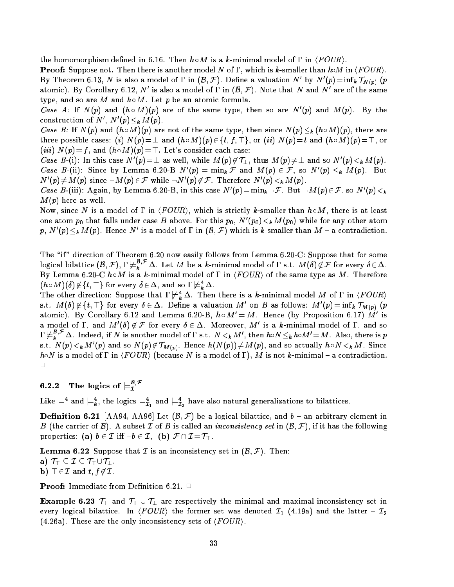the homomorphism defined in 6.16. Then  $h \circ M$  is a k-minimal model of  $\Gamma$  in  $\langle \text{FOUR} \rangle$ .

**Proof:** Suppose not. Then there is another model N of  $\Gamma$ , which is k-smaller than hoM in  $\langle \text{FOUR} \rangle$ . By Ineorem 6.13, *N* is also a model of I in  $(B, F)$ . Define a valuation *N* by *N*  $(p) = \min_k I_{N(p)}$  (*p* atomic). By Corollary 6.12, N is also a model of  $\Gamma$  in  $(\mathcal{B}, \mathcal{F})$ . Note that N and N are of the same type, and so are M and  $h \circ M$ . Let p be an atomic formula.

Case A: If  $N(p)$  and  $(n \circ M)(p)$  are of the same type, then so are  $N(p)$  and  $M(p)$ . By the construction of  $N$  ,  $N$  ( $p$ )  $\leq k$   $M$  ( $p$ ).

 $\mathcal{L} = \{N_{\text{max}} \mid \mathcal{N}_{\text{max}} \}$  are not one of the same type, then since  $N_{\text{max}}$ three possible cases: (i)  $N(p) = \perp$  and  $(h \circ M)(p) \in \{t, f, \top\}$ , or (ii)  $N(p) = t$  and  $(h \circ M)(p) = \top$ , or (*iii*)  $N(p)=f$ , and  $(h\circ M)(p)=T$ . Let's consider each case:

Case B-(1): In this case N (p)  $=\perp$  as well, while M(p)  $\notin I_{\perp}$ , thus M(p)  $\notin \perp$  and so N (p)  $\lt_k M(p)$ . Case B-(ii): Since by Lemma 6.20-B N (p)  $=$  mink F and M (p)  $\in$  F, so N (p)  $\leq$  M (p). But IV  $(p) \neq M(p)$  since  $\neg M(p) \in \mathcal{F}$  while  $\neg N(p) \notin \mathcal{F}$ . Interefore IV  $(p) \leq k M(p)$ .

Case B-(III): Again, by Lemma 6.20-B, in this case N  $(p) = \min_k \neg F$ . But  $\neg M(p) \in F$ , so N  $(p) \leq k$  $M(p)$  here as well.

Now, since N is a model of  $\Gamma$  in  $\langle FOUR\rangle$ , which is strictly k-smaller than  $h\circ M$ , there is at least one atom  $p_0$  that falls under case  $B$  above. For this  $p_0,$  IV ( $p_0$ )  $\leq_k$ IV ( $p_0$ ) while for any other atom  $p,$   $N$  ( $p$ )  $\leq_k$   $M$  ( $p$ ). Hence *I*v is a model of I in ( $\beta,$   ${\cal F}$ ) which is  $k$ -smaller than  $M$   $-$  a contradiction.

The "if" direction of Theorem 6.20 now easily follows from Lemma 6.20-C: Suppose that for some logical bilattice  $(\mathcal{B},\mathcal{F}),$  I  $\neq_k^{\mathcal{F}}$  . Let  $M$  be a  $k$ -minimal model of  $\Gamma$  s.t.  $M(\bm{\delta})\not\in\mathcal{F}$  for every  $\bm{\delta}\!\in\!\Delta$ . By Lemma 6.20-C hM is a k-minimal model of the same type as M. Therefore, the same type as  $M$  of the same type as  $M$  $(n \circ M)(0) \notin \{t, +\}$  for every  $0 \in \Delta$ , and so  $1 \not\vDash_{\bar{k}} \Delta$ .

The other direction: Suppose that  $\Gamma \not\models^4_k\Delta$ . Then there is a  $k$ -minimal model  $M$  of  $\Gamma$  in  $\langle \textit{FOUR} \rangle$ s.t. M (0)  $\notin$  {t, + } for every  $o\in\Delta$ . Define a valuation M on B as follows: M (p)  $=$  inf k  $I_{M(p)}$  (p atomic). By Corollary 6.12 and Lemma 6.20-B,  $n \circ M^{\circ} = M$ . Hence (by Proposition 6.17) M is a model of 1, and M  $(0) \notin \mathcal{F}$  for every  $0 \in \Delta$ . Moreover, M is a k-minimal model of 1, and so  $\Gamma \not\models^*_k,\quad \Delta.$  Indeed, if  $N$  is another model of  $\Gamma$  s.t.  $N <_k M',$  then  $\hbar o N \leq_k \hbar o M' = M$  . Also, there is  $p$  $\cdot$   $\cdot$ s.t. *i*v (p)  $\leq_k$  M (p) and so *i*v (p)  $\notin$  I  $M(p)$ . Hence  $n(N(p))$   $\notin$  M (p), and so actually  $n$  o iv  $\leq_k$  M . Since hoN is a model of  $\Gamma$  in  $\langle \text{FOUR} \rangle$  (because N is a model of  $\Gamma$ ), M is not k-minimal - a contradiction.  $\Box$ 

# **6.2.2** The logics of  $\equiv_{\tau}^{\mathcal{B},\mathcal{F}}$

Like  $\models$  and  $\models_{\bar{k}}$ , the logics  $\models_{\bar{\mathcal{I}}_1}$  and  $\models_{\bar{\mathcal{I}}_2}$  have also natural generalizations to bilattices.

**Definition 6.21** [AA94, AA96] Let  $(B, \mathcal{F})$  be a logical bilattice, and  $b$  – an arbitrary element in B (the carrier of B). A subset  $\mathcal I$  of B is called an *inconsistency set* in  $(\mathcal B, \mathcal F)$ , if it has the following properties: (a)  $b \in \mathcal{I}$  iff  $\neg b \in \mathcal{I}$ , (b)  $\mathcal{F} \cap \mathcal{I} = \mathcal{T}_{\top}$ .

**Lemma 6.22** Suppose that *I* is an inconsistency set in  $(\mathcal{B}, \mathcal{F})$ . Then: a)  $\mathcal{T}_{\top} \subset \mathcal{I} \subset \mathcal{T}_{\top} \cup \mathcal{T}_{\bot}$ . **b**)  $\top \in \mathcal{I}$  and  $t, f \notin \mathcal{I}$ .

**Proof:** Immediate from Definition 6.21.  $\Box$ 

**Example 6.23**  $\mathcal{T}_{\top}$  and  $\mathcal{T}_{\top} \cup \mathcal{T}_{\bot}$  are respectively the minimal and maximal inconsistency set in every logical bilattice. In  $\langle \text{FOUR} \rangle$  the former set was denoted  $I_1$  (4.19a) and the latter -  $I_2$ (4.26a). These are the only inconsistency sets of  $\langle \text{FOUR} \rangle$ .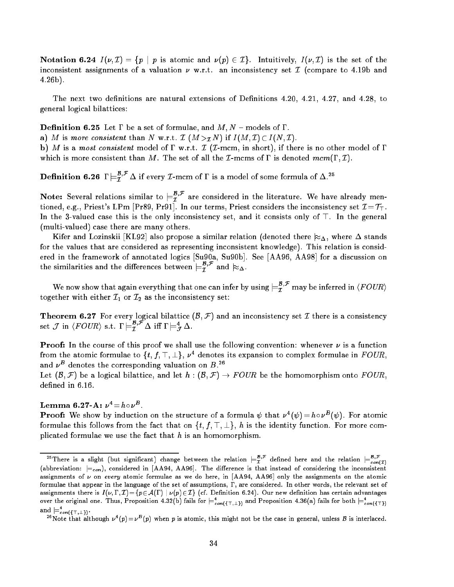Notation 6.24  $I(\nu, \mathcal{I}) = \{p \mid p \text{ is atomic and } \nu(p) \in \mathcal{I}\}\$ . Intuitively,  $I(\nu, \mathcal{I})$  is the set of the inconsistent assignments of a valuation  $\nu$  w.r.t. an inconsistency set  $\mathcal I$  (compare to 4.19b and 4.26b).

The next two definitions are natural extensions of Definitions  $4.20, 4.21, 4.27,$  and  $4.28,$  to general logical bilattices:

**Definition 6.25** Let  $\Gamma$  be a set of formulae, and  $M, N$  – models of  $\Gamma$ .

a) M is more consistent than N w.r.t.  $\mathcal{I}(M >_{\mathcal{I}} N)$  if  $I(M, \mathcal{I}) \subset I(N, \mathcal{I})$ .

b) M is a most consistent model of  $\Gamma$  w.r.t.  $\mathcal I$  ( $\mathcal I$ -mcm, in short), if there is no other model of  $\Gamma$ which is more consistent than M. The set of all the *I*-mcms of  $\Gamma$  is denoted mcm( $\Gamma$ , *I*).

**Definition 6.26**  $\Gamma \models_T^T \Delta$  if every L-mcm of  $\Gamma$  is a model of some formula of  $\Delta$ .

Note: Several relations similar to  $\models_T^{\tau^*}$  are considered in the literature. We have already mentioned, e.g., Priest's LPm [Pr89, Pr91]. In our terms, Priest considers the inconsistency set  $\mathcal{I} = \mathcal{T}_T$ . In the 3-valued case this is the only inconsistency set, and it consists only of  $\top$ . In the general (multi-valued) case there are many others.

Kifer and Lozinskii [KL92] also propose a similar relation (denoted there  $\approx_{\Delta}$ , where  $\Delta$  stands for the values that are considered as representing inconsistent knowledge). This relation is considered in the framework of annotated logics [Su90a, Su90b]. See [AA96, AA98] for a discussion on the similarities and the differences between  $\models \bar{\tau}^r$  and  $\approx_\Delta$ .

We now show that again everything that one can infer by using  $\models \tau^r$  may be inferred in  $\langle FOUR \rangle$ together with either  $\mathcal{I}_1$  or  $\mathcal{I}_2$  as the inconsistency set:

**Theorem 6.27** For every logical bilattice  $(\mathcal{B}, \mathcal{F})$  and an inconsistency set  $\mathcal{I}$  there is a consistency set  $\mathcal J$  in  $\langle FUUR \rangle$  s.t.  $I \models \tilde{\mathcal I}^* \Delta$  iff  $I \models \tilde{\mathcal I} \Delta$ .

**Proof:** In the course of this proof we shall use the following convention: whenever  $\nu$  is a function from the atomic formulae to  $\{t,~t,$   $+,\bot\}$ ,  $\nu$  - denotes its expansion to complex formulae in  $F\cup\iota K,$ and  $\nu^-$  denotes the corresponding valuation on  $B$ .

Let  $(\mathcal{B}, \mathcal{F})$  be a logical bilattice, and let  $h : (\mathcal{B}, \mathcal{F}) \to \text{FOUR}$  be the homomorphism onto  $\text{FOUR}$ , defined in 6.16.

Lemma o.27-A:  $\nu$  =  $n \circ \nu$  .

**Proof:** We snow by induction on the structure of a formula  $\psi$  that  $\nu^-(\psi) = n \circ \nu^-(\psi)$ . For atomic formulae this follows from the fact that on  $\{t, f, \top, \bot\}$ , h is the identity function. For more complicated formulae we use the fact that  $h$  is an homomorphism.

<sup>&</sup>lt;sup>25</sup>There is a slight (but significant) change between the relation  $\models_{L}^{+r}$  defined here and the relation  $\models_{c \circ n(T)}^{+r}$ (abbreviation:  $\models_{con}$ ), considered in [AA94, AA96]. The difference is that instead of considering the inconsistent assignments of  $\nu$  on every atomic formulae as we do here, in [AA94, AA96] only the assignments on the atomic formulae that appear in the language of the set of assumptions,  $\Gamma$ , are considered. In other words, the relevant set of assignments there is  $I(\nu,\Gamma,\mathcal{I}) = \{p \in \mathcal{A}(\Gamma) \mid \nu(p) \in \mathcal{I}\}\$  (cf. Definition 6.24). Our new definition has certain advantages over the original one. Thus, Proposition 4.32(b) fails for  $\models_{con(\{\top, \bot\})}$  and Proposition 4.36(a) fails for both  $\models_{con(\{\top\})}$ and  $\vDash_{con(\{\top,\bot\})}.$ 

Thote that although  $\nu^-(p)=\nu^-(p)$  when  $p$  is atomic, this might not be the case in general, unless  $D$  is interlaced.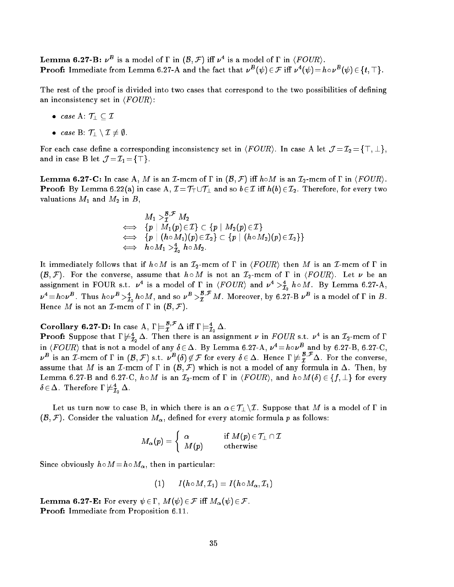**Lemma 6.27-B:**  $\nu^-$  is a model of 1 in  $(\mathcal{D}, \mathcal{F})$  in  $\nu^-$  is a model of 1 in  $\langle \mathcal{L} \cup \mathcal{U} \mathcal{R} \rangle$ . **Proof:** Immediate from Lemma 6.27-A and the fact that  $\nu^-(\psi) \in \mathcal{F}$  in  $\nu^-(\psi) = n \circ \nu^-(\psi) \in \{t, +\}$ .

The rest of the proof is divided into two cases that correspond to the two possibilities of defining an inconsistency set in  $\langle \mathit{FOUR} \rangle$ :

- case A:  $\mathcal{T}_\perp \subseteq \mathcal{I}$
- case B:  $\mathcal{T}_1 \setminus \mathcal{I} \neq \emptyset$ .

For each case define a corresponding inconsistency set in  $\langle \text{FOUR} \rangle$ . In case A let  $\mathcal{J} = \mathcal{I}_2 = \{ \top, \bot \},$ and in case B let  $\mathcal{J} = \mathcal{I}_1 = {\top}$ .

**Lemma 6.27-C:** In case A, M is an I-mcm of  $\Gamma$  in  $(\mathcal{B}, \mathcal{F})$  iff  $h \circ M$  is an  $\mathcal{I}_2$ -mcm of  $\Gamma$  in  $\langle \text{FOUR} \rangle$ . **Proof:** By Lemma 6.22(a) in case A,  $\mathcal{I} = \mathcal{T}_\top \cup \mathcal{T}_\bot$  and so  $b \in \mathcal{I}$  iff  $h(b) \in \mathcal{I}_2$ . Therefore, for every two valuations  $M_1$  and  $M_2$  in  $B$ ,

$$
\begin{array}{rcl} M_1 >^{{\boldsymbol B},\mathcal{F}}_{{\boldsymbol{I}}} M_2 & \Longleftrightarrow & \{p \mid M_1(p) \in {\mathcal I}\} \subset \{p \mid M_2(p) \in {\mathcal I}\} \\ \Longleftrightarrow & \{p \mid (h \circ M_1)(p) \in {\mathcal I}_2\} \subset \{p \mid (h \circ M_2)(p) \in {\mathcal I}_2\} \} \\ \Longleftrightarrow & h \circ M_1 >^{{\boldsymbol A}}_{{\boldsymbol{I}}_2} \; h \circ M_2 . \end{array}
$$

It immediately follows that if  $h \circ M$  is an  $\mathcal{I}_2$ -mcm of  $\Gamma$  in  $\langle \text{FOUR} \rangle$  then M is an  $\mathcal{I}$ -mcm of  $\Gamma$  in  $(\mathcal{B}, \mathcal{F})$ . For the converse, assume that  $h \circ M$  is not an  $\mathcal{I}_2$ -mcm of  $\Gamma$  in  $\langle \text{FOUR} \rangle$ . Let  $\nu$  be an assignment in FOUR s.t.  $\nu$  is a model of 1 in  $\langle$ FOUR) and  $\nu$  -  $>_{\tilde{I}_2}$   $n \circ m$ . By Lemma 6.27-A, <sup>4</sup> =h<sup>B</sup> . Thus h<sup>B</sup> >4 I2 hM, and so <sup>B</sup> >B;F <sup>I</sup> M. Moreover, by 6.27-B <sup>B</sup> is a model of in B. Hence M is not an  $\mathcal{I}$ -mcm of  $\Gamma$  in  $(\mathcal{B}, \mathcal{F})$ .

#### Corollary 6.27-D: In case A, I  $\models_T^\tau$   $\Delta$  iff I  $\models_T^\tau$  $L_2$  .

**Proof:** Suppose that 1  $\neq \hat{\tau}_2 \triangle$ . Then there is an assignment  $\nu$  in FOUR s.t.  $\nu$  : is an I2-mcm of in  $\langle$  f  $OUK\rangle$  that is not a model of any  $\delta\in\Delta$ . By Lemma 6.27-A,  $\nu^{\ast}=n\circ\nu^{\ast}$  and by 6.27-B, 6.27-C,  $\nu^{\nu}$  is an I-mcm of  $\Gamma$  in  $(\beta, \mathcal{F})$  s.t.  $\nu^{\nu}(\delta) \notin \mathcal{F}$  for every  $\delta \in \Delta$ . Hence  $\Gamma \not \models \widetilde{\tau}^{\nu}$   $\Delta$ . For the converse, assume that M is an I-mcm of  $\Gamma$  in  $(\mathcal{B}, \mathcal{F})$  which is not a model of any formula in  $\Delta$ . Then, by Lemma 6.27-B and 6.27-C,  $h \circ M$  is an  $\mathcal{I}_2$ -mcm of  $\Gamma$  in  $\langle FOUR \rangle$ , and  $h \circ M(\delta) \in \{f, \bot\}$  for every  $\pmb{\sigma}\! \in\! \Delta.$  Inerefore 1  $\mathrel{\models}\! \mathrel{\mathcal{I}}_2 \Delta.$ 

Let us turn now to case B, in which there is an  $\alpha \in \mathcal{T}_\perp \setminus \mathcal{I}$ . Suppose that M is a model of  $\Gamma$  in  $(\mathcal{B}, \mathcal{F})$ . Consider the valuation  $M_{\alpha}$ , defined for every atomic formula p as follows:

$$
M_{\boldsymbol\alpha}(\boldsymbol p)=\left\{\begin{array}{ll} \boldsymbol\alpha & \text{if } M(\boldsymbol p)\in\mathcal{T}_\perp\cap\mathcal{I} \\ M(\boldsymbol p) & \text{otherwise} \end{array}\right.
$$

Since obviously  $h \circ M = h \circ M_\alpha$ , then in particular:

$$
(1) \qquad I(h \circ M, \mathcal{I}_1) = I(h \circ M_{\alpha}, \mathcal{I}_1)
$$

**Lemma 6.27-E:** For every  $\psi \in \Gamma$ ,  $M(\psi) \in \mathcal{F}$  iff  $M_{\alpha}(\psi) \in \mathcal{F}$ . Proof: Immediate from Proposition 6.11.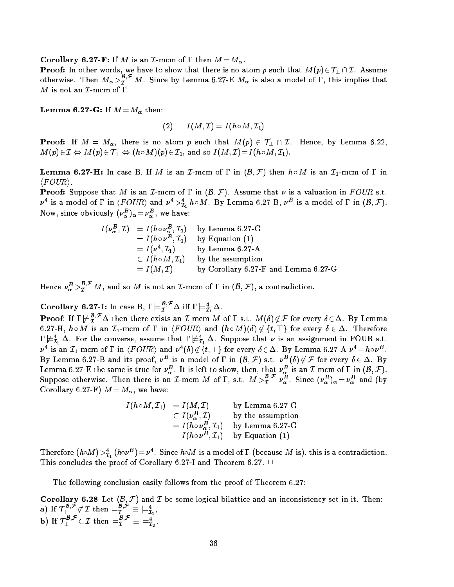**Corollary 6.27-F:** If M is an I-mcm of  $\Gamma$  then  $M = M_{\alpha}$ .

**Proof:** In other words, we have to show that there is no atom p such that  $M(p) \in T_1 \cap \mathcal{I}$ . Assume otherwise. Then  $M_{\alpha} > \tilde{T}$  M. Since by Lemma 6.27-E  $M_{\alpha}$  is also a model of  $\Gamma,$  this implies that  $M$  is not an  $\mathcal I$ -mcm of  $\Gamma$ .

Lemma 6.27-G: If M =M then:

$$
(2) \qquad I(M,\mathcal{I})=I(h\circ M,\mathcal{I}_1)
$$

**Proof:** If  $M = M_{\alpha}$ , there is no atom p such that  $M(p) \in \mathcal{T}_\perp \cap \mathcal{I}$ . Hence, by Lemma 6.22,  $M(p) \in \mathcal{I} \Leftrightarrow M(p) \in \mathcal{T}_{\top} \Leftrightarrow (h \circ M)(p) \in \mathcal{I}_1$ , and so  $I(M, \mathcal{I}) = I(h \circ M, \mathcal{I}_1)$ .

**Lemma 6.27-H:** In case B, If M is an I-mcm of  $\Gamma$  in  $(\mathcal{B}, \mathcal{F})$  then  $h \circ M$  is an I<sub>1</sub>-mcm of  $\Gamma$  in  $\langle \textit{FOUR} \rangle$ .

**Proof:** Suppose that M is an I-mcm of  $\Gamma$  in  $(\mathcal{B}, \mathcal{F})$ . Assume that  $\nu$  is a valuation in FOUR s.t.  $\nu$  is a model of 1 in  $\langle rUUR \rangle$  and  $\nu$   $\geq \tilde{I}_1$   $n \circ M$ . By Lemma 6.27-B,  $\nu$  is a model of 1 in  $(\rho, \mathcal{F})$ . ivow, since obviously  $(\nu_{\alpha})_{\alpha} = \nu_{\alpha}^{-}$ , we have:

$$
I(\nu_{\alpha}^{B}, \mathcal{I}) = I(h \circ \nu_{\alpha}^{B}, \mathcal{I}_{1}) \text{ by Lemma 6.27-G}
$$
  
=  $I(h \circ \nu^{B}, \mathcal{I}_{1})$  by Equation (1)  
=  $I(\nu^{4}, \mathcal{I}_{1})$  by Lemma 6.27-A  
 $\subset I(h \circ M, \mathcal{I}_{1})$  by the assumption  
=  $I(M, \mathcal{I})$  by Corollary 6.27-F and Lemma 6.27-G

Hence  $\nu_{\alpha}^{\nu} > \tau$  M, and so M is not an *L*-mcm of I in  $(\beta, \mathcal{F})$ , a contradiction.

Corollary 6.27-1: In case B,  $I \models \overline{I}^* \Delta$  iff  $I \models \overline{I}_1 \Delta$ .

**Proof:** If  $I \nvDash T$   $\Delta$  then there exists an  $I$ -mcm M of  $I$  s.t.  $M(0) \not\in \mathcal{F}$  for every  $\delta \in \Delta$ . By Lemma 6.27-H,  $h \circ M$  is an  $\mathcal{I}_1$ -mcm of  $\Gamma$  in  $\langle FOUR\rangle$  and  $(h \circ M)(\delta) \not\in \{t, \top\}$  for every  $\delta \in \Delta$ . Therefore  $1 \not\vDash \hat{\mathcal{I}}_1 \Delta$ . For the converse, assume that  $1 \not\vDash \hat{\mathcal{I}}_1 \Delta$ . Suppose that  $\nu$  is an assignment in FOUR s.t.  $\nu$  is an  $L_1$ -mcm of  $\Gamma$  in  $\langle \tau \, \text{C} \cup \text{R} \rangle$  and  $\nu$  (0)  $\nu \notin \{ \iota, \bot \}$  for every  $\vartheta \in \Delta$ . By Lemma 6.27-A  $\nu \equiv n \circ \nu^{-}$  . By Lemma 6.27-B and its proof,  $\nu^{\omega}$  is a model of 1 in  $(\mathcal{D}, \mathcal{F})$  s.t.  $\nu^{\omega}$  ( $\sigma$ )  $\notin \mathcal{F}$  for every  $\sigma \in \Delta$ . By Lemma 6.27-E the same is true for  $\nu_{\alpha}^{-}$ . It is left to show, then, that  $\nu_{\alpha}^{-}$  is an I-mcm of I in  $(\beta, \mathcal{F})$ . Suppose otherwise. Then there is an L-mcm M of I, s.t.  $M >_I^{\pi^+} \nu_\alpha^{\omega}$ . Since  $(\nu_\alpha^{\omega})_\alpha = \nu_\alpha^{\omega}$  and (by Corollary 6.27-F)  $M = M_{\alpha}$ , we have:

$$
I(h \circ M, \mathcal{I}_1) = I(M, \mathcal{I})
$$
 by Lemma 6.27-G  
\n
$$
\subset I(\nu^B_\alpha, \mathcal{I})
$$
 by the assumption  
\n
$$
= I(h \circ \nu^B_\alpha, \mathcal{I}_1)
$$
 by Lemma 6.27-G  
\n
$$
= I(h \circ \nu^B, \mathcal{I}_1)
$$
 by Equation (1)

Therefore  $(n \circ M) > \tilde{I}_1$  ( $n \circ \nu^2$ ) =  $\nu^2$ . Since  $n \circ M$  is a model of I (because M is), this is a contradiction. This concludes the proof of Corollary 6.27-I and Theorem 6.27.  $\Box$ 

The following conclusion easily follows from the proof of Theorem 6.27:

Corollary 6.28 Let (B; F) and <sup>I</sup> be some logical bilattice and an inconsistency set in it. Then: a) If  $\mathcal{T}_\perp^{\sim, \sim} \not\subset \mathcal{I}$  then  $\models \tilde{\mathcal{I}}_1^{\sim, \sim} \equiv \models \tilde{\mathcal{I}}_1^{\sim, \sim}$ b) If  $\mathcal{T}_\perp$   $\subset \mathcal{I}$  then  $\models \mathcal{T}_2$   $\equiv \models \mathcal{T}_2$ .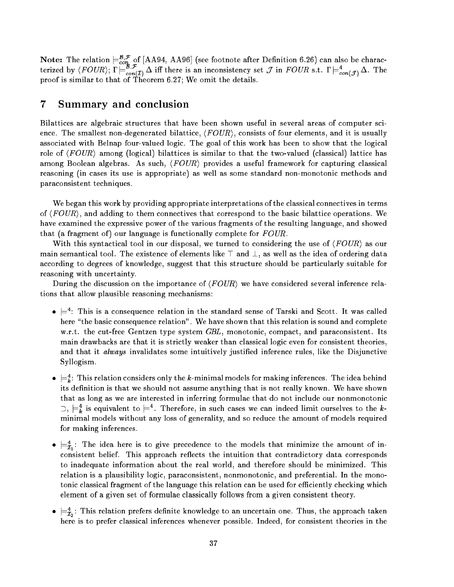**Note:** The relation  $\sqsubset_{con}^{\infty}$  of [AA94, AA96] (see foothote after Definition 6.26) can also be characterized by  $\langle FUUR \rangle$ ;  $\Gamma \models_{con(I)} \Delta$  iff there is an inconsistency set J in  $FUUR$  s.t.  $\Gamma \models_{con(I)} \Delta$ . The proof is similar to that of Theorem 6.27; We omit the details.

# 7 Summary and conclusion

Bilattices are algebraic structures that have been shown useful in several areas of computer science. The smallest non-degenerated bilattice,  $\langle FOUR \rangle$ , consists of four elements, and it is usually associated with Belnap four-valued logic. The goal of this work has been to show that the logical role of  $\langle \text{FOUR} \rangle$  among (logical) bilattices is similar to that the two-valued (classical) lattice has among Boolean algebras. As such,  $\langle \text{FOUR} \rangle$  provides a useful framework for capturing classical reasoning (in cases its use is appropriate) as well as some standard non-monotonic methods and paraconsistent techniques.

We began this work by providing appropriate interpretations of the classical connectives in terms of  $\langle \text{FOUR} \rangle$ , and adding to them connectives that correspond to the basic bilattice operations. We have examined the expressive power of the various fragments of the resulting language, and showed that (a fragment of) our language is functionally complete for  $FOUR$ .

With this syntactical tool in our disposal, we turned to considering the use of  $\langle FOUR\rangle$  as our main semantical tool. The existence of elements like  $\top$  and  $\bot$ , as well as the idea of ordering data according to degrees of knowledge, suggest that this structure should be particularly suitable for reasoning with uncertainty.

During the discussion on the importance of  $\langle FOUR\rangle$  we have considered several inference relations that allow plausible reasoning mechanisms:

- $\bullet\,\models$  : This is a consequence relation in the standard sense of Tarski and Scott. It was called here "the basic consequence relation". We have shown that this relation is sound and complete w.r.t. the cut-free Gentzen type system GBL, monotonic, compact, and paraconsistent. Its main drawbacks are that it is strictly weaker than classical logic even for consistent theories, and that it *always* invalidates some intuitively justified inference rules, like the Disjunctive Syllogism.
- $\bullet \models_k:$  This relation considers only the  $k$ -minimal models for making inferences. The idea behind its definition is that we should not assume anything that is not really known. We have shown that as long as we are interested in inferring formulae that do not include our nonmonotonic  $\cup$ ,  $\models$  $\bar{k}$  is equivalent to  $\models$ . Inerefore, in such cases we can indeed limit ourselves to the  $\kappa$ minimal models without any loss of generality, and so reduce the amount of models required for making inferences.
- $\bullet \models_{\bar{\mathcal{I}}_1}:\;1$  he idea here is to give precedence to the models that minimize the amount of inconsistent belief. This approach reflects the intuition that contradictory data corresponds to inadequate information about the real world, and therefore should be minimized. This relation is a plausibility logic, paraconsistent, nonmonotonic, and preferential. In the monotonic classical fragment of the language this relation can be used for efficiently checking which element of a given set of formulae classically follows from a given consistent theory.
- $\bullet \models_{\bar{\mathcal{I}}_2}:\ \text{I}$  ins relation prefers definite knowledge to an uncertain one. Thus, the approach taken here is to prefer classical inferences whenever possible. Indeed, for consistent theories in the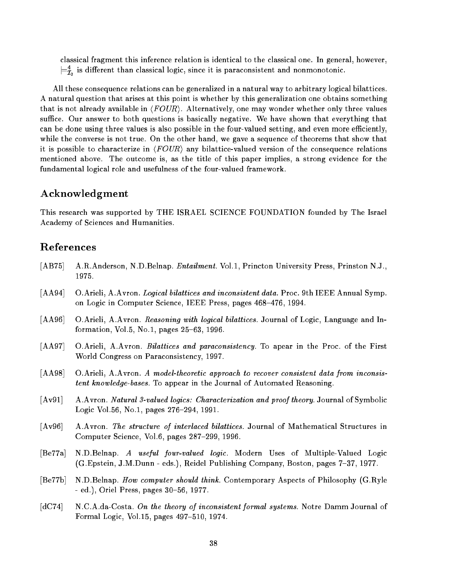classical fragment this inference relation is identical to the classical one. In general, however,  $\rightleftharpoons$  is different than classical logic, since it is paraconsistent and nonmonotonic. - -

All these consequence relations can be generalized in a natural way to arbitrary logical bilattices. A natural question that arises at this point is whether by this generalization one obtains something that is not already available in  $\langle FOUR\rangle$ . Alternatively, one may wonder whether only three values suffice. Our answer to both questions is basically negative. We have shown that everything that can be done using three values is also possible in the four-valued setting, and even more efficiently, while the converse is not true. On the other hand, we gave a sequence of theorems that show that it is possible to characterize in  $\langle \text{FOUR} \rangle$  any bilattice-valued version of the consequence relations mentioned above. The outcome is, as the title of this paper implies, a strong evidence for the fundamental logical role and usefulness of the four-valued framework.

# Acknowledgment

This research was supported by THE ISRAEL SCIENCE FOUNDATION founded by The Israel Academy of Sciences and Humanities.

# References

- [AB75] A.R.Anderson, N.D.Belnap. Entailment. Vol.1, Princton University Press, Prinston N.J., 1975.
- [AA94] O.Arieli, A.Avron. Logical bilattices and inconsistent data. Proc. 9th IEEE Annual Symp. on Logic in Computer Science, IEEE Press, pages 468-476, 1994.
- [AA96] O.Arieli, A.Avron. Reasoning with logical bilattices. Journal of Logic, Language and Information, Vol.5, No.1, pages  $25{-}63$ , 1996.
- [AA97] O.Arieli, A.Avron. *Bilattices and paraconsistency*. To apear in the Proc. of the First World Congress on Paraconsistency, 1997.
- [AA98] O.Arieli, A.Avron. A model-theoretic approach to recover consistent data from inconsistent know ledge-bases. To appear in the Journal of Automated Reasoning.
- [Av91] A.Avron. Natural 3-valued logics: Characterization and proof theory. Journal of Symbolic Logic Vol.56, No.1, pages 276-294, 1991.
- [Av96] A.Avron. The structure of interlaced bilattices. Journal of Mathematical Structures in Computer Science, Vol.6, pages 287-299, 1996.
- [Be77a] N.D.Belnap. A useful four-valued logic. Modern Uses of Multiple-Valued Logic (G.Epstein, J.M.Dunn - eds.), Reidel Publishing Company, Boston, pages 7–37, 1977.
- [Be77b] N.D.Belnap. How computer should think. Contemporary Aspects of Philosophy (G.Ryle  $-$  ed.), Oriel Press, pages  $30-56$ , 1977.
- [dC74] N.C.A.da-Costa. On the theory of inconsistent formal systems. Notre Damm Journal of Formal Logic, Vol.15, pages  $497-510$ , 1974.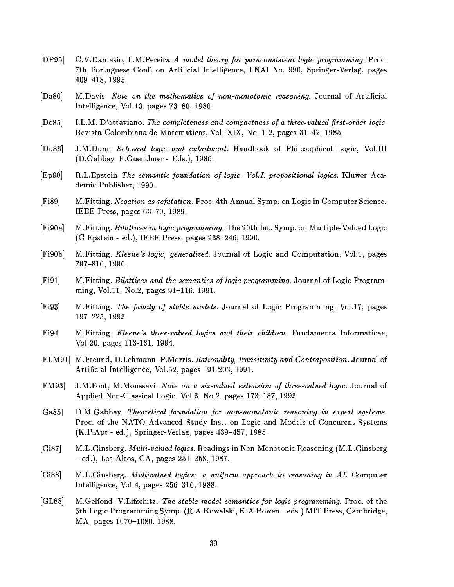- [DP95] C.V.Damasio, L.M.Pereira A model theory for paraconsistent logic programming. Proc. 7th Portuguese Conf. on Articial Intelligence, LNAI No. 990, Springer-Verlag, pages 409-418, 1995.
- [Da80] M.Davis. Note on the mathematics of non-monotonic reasoning. Journal of Artificial Intelligence, Vol.13, pages  $73-80$ , 1980.
- $[Do85]$  I.L.M. D'ottaviano. The completeness and compactness of a three-valued first-order logic. Revista Colombiana de Matematicas, Vol. XIX, No. 1-2, pages 31-42, 1985.
- [Du86] J.M.Dunn Relevant logic and entailment. Handbook of Philosophical Logic, Vol.III (D.Gabbay, F.Guenthner - Eds.), 1986.
- [Ep90] R.L.Epstein The semantic foundation of logic. Vol.I: propositional logics. Kluwer Academic Publisher, 1990.
- [Fi89] M.Fitting. Negation as refutation. Proc. 4th Annual Symp. on Logic in Computer Science, IEEE Press, pages  $63-70$ , 1989.
- [Fi90a] M.Fitting. Bilattices in logic programming. The 20th Int. Symp. on Multiple-Valued Logic  $(G.Epstein - ed.), IEEE Press, pages 238-246, 1990.$
- [Fi90b] M.Fitting. Kleene's logic, generalized. Journal of Logic and Computation, Vol.1, pages 797-810, 1990.
- [Fi91] M.Fitting. Bilattices and the semantics of logic programming. Journal of Logic Programming, Vol.11, No.2, pages  $91-116$ , 1991.
- [Fi93] M.Fitting. The family of stable models. Journal of Logic Programming, Vol.17, pages 197-225, 1993.
- [Fi94] M.Fitting. Kleene's three-valued logics and their children. Fundamenta Informaticae, Vol.20, pages 113-131, 1994.
- [FLM91] M.Freund, D.Lehmann, P.Morris. Rationality, transitivity and Contraposition. Journal of Articial Intelligence, Vol.52, pages 191-203, 1991.
- [FM93] J.M.Font, M.Moussavi. Note on a six-valued extension of three-valued logic. Journal of Applied Non-Classical Logic, Vol.3, No.2, pages 173-187, 1993.
- [Ga85] D.M.Gabbay. Theoretical foundation for non-monotonic reasoning in expert systems. Proc. of the NATO Advanced Study Inst. on Logic and Models of Concurent Systems  $(K.P.Apt - ed.), Springer-Verlag, pages 439-457, 1985.$
- [Gi87] M.L.Ginsberg. Multi-valued logics. Readings in Non-Monotonic Reasoning (M.L.Ginsberg  $=$  ed.), Los-Altos, CA, pages 251-258, 1987.
- [Gi88] M.L.Ginsberg. Multivalued logics: a uniform approach to reasoning in AI. Computer Intelligence, Vol.4, pages  $256-316$ , 1988.
- [GL88] M.Gelfond, V.Lifschitz. The stable model semantics for logic programming. Proc. of the 5th Logic Programming Symp. (R.A.Kowalski, K.A.Bowen { eds.) MIT Press, Cambridge, MA, pages 1070-1080, 1988.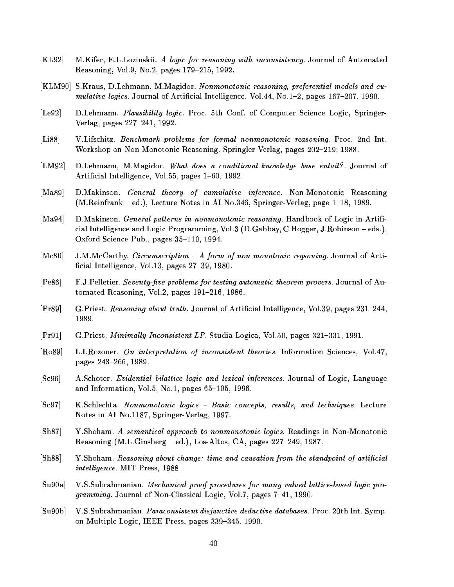- [KL92] M.Kifer, E.L.Lozinskii. A logic for reasoning with inconsistency. Journal of Automated Reasoning, Vol.9, No.2, pages 179-215, 1992.
- [KLM90] S.Kraus, D.Lehmann, M.Magidor. Nonmonotonic reasoning, preferential models and cumulative logics. Journal of Artificial Intelligence, Vol.44, No.1-2, pages  $167{-}207$ , 1990.
- [Le92] D.Lehmann. *Plausibility logic*. Proc. 5th Conf. of Computer Science Logic, Springer-Verlag, pages 227-241, 1992.
- [Li88] V.Lifschitz. Benchmark problems for formal nonmonotonic reasoning. Proc. 2nd Int. Workshop on Non-Monotonic Reasoning. Springler-Verlag, pages 202-219; 1988.
- [LM92] D.Lehmann, M.Magidor. What does a conditional knowledge base entail?. Journal of Artificial Intelligence, Vol.55, pages 1–60, 1992.
- [Ma89] D.Makinson. General theory of cumulative inference. Non-Monotonic Reasoning (M.Reinfrank  $-$  ed.), Lecture Notes in AI No.346, Springer-Verlag, page  $1-18$ , 1989.
- [Ma94] D.Makinson. General patterns in nonmonotonic reasoning. Handbook of Logic in Artificial Intelligence and Logic Programming, Vol.3 (D.Gabbay, C.Hogger, J.Robinson { eds.), Oxford Science Pub., pages  $35-110$ , 1994.
- [Mc80] J.M.McCarthy. *Circumscription A form of non monotonic regsoning.* Journal of Artificial Intelligence, Vol.13, pages  $27{-}39$ , 1980.
- [Pe86] F.J.Pelletier. Seventy-five problems for testing automatic theorem provers. Journal of Automated Reasoning, Vol.2, pages  $191-216$ , 1986.
- [Pr89] G.Priest. Reasoning about truth. Journal of Artificial Intelligence, Vol.39, pages 231–244, 1989.
- [Pr91] G.Priest. Minimally Inconsistent LP. Studia Logica, Vol.50, pages 321-331, 1991.
- [Ro89] L.I.Rozoner. On interpretation of inconsistent theories. Information Sciences, Vol.47, pages 243-266, 1989.
- [Sc96] A.Schoter. Evidential bilattice logic and lexical inferences. Journal of Logic, Language and Information, Vol.5, No.1, pages  $65-105$ , 1996.
- [Sc97] K.Schlechta. Nonmonotonic logics Basic concepts, results, and techniques. Lecture Notes in AI No.1187, Springer-Verlag, 1997.
- [Sh87] Y.Shoham. <sup>A</sup> semantical approach to nonmonotonic logics. Readings in Non-Monotonic Reasoning (M.L.Ginsberg - ed.), Los-Altos, CA, pages 227-249, 1987.
- $[Sh88]$  Y.Shoham. Reasoning about change: time and causation from the standpoint of artificial intelligence. MIT Press, 1988.
- [Su90a] V.S.Subrahmanian. Mechanical proof procedures for many valued lattice-based logic pro*gramming.* Journal of Non-Classical Logic, Vol.7, pages  $7-41$ , 1990.
- [Su90b] V.S.Subrahmanian. Paraconsistent disjunctive deductive databases. Proc. 20th Int. Symp. on Multiple Logic, IEEE Press, pages 339-345, 1990.